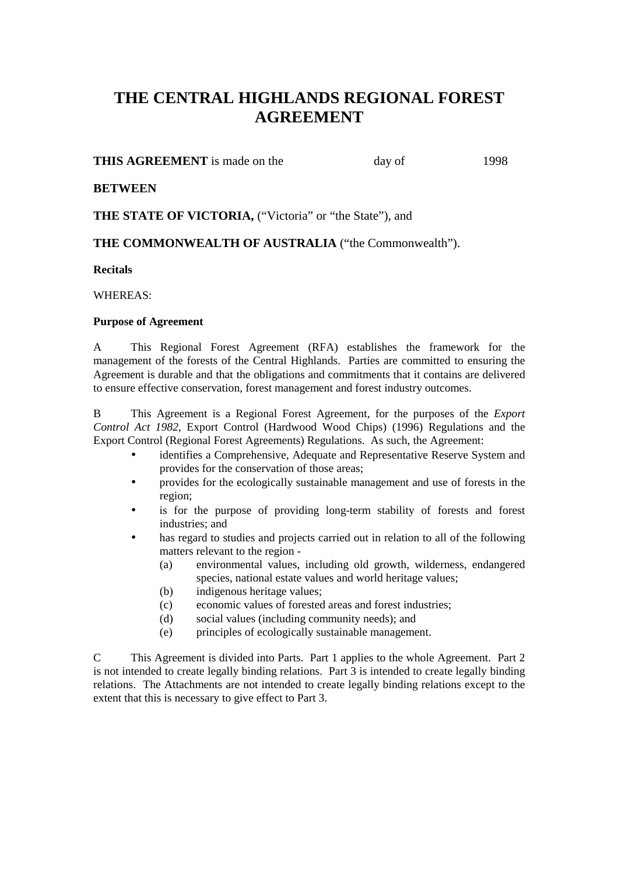# **THE CENTRAL HIGHLANDS REGIONAL FOREST AGREEMENT**

# **THIS AGREEMENT** is made on the day of 1998

# **BETWEEN**

**THE STATE OF VICTORIA,** ("Victoria" or "the State"), and

# **THE COMMONWEALTH OF AUSTRALIA** ("the Commonwealth").

### **Recitals**

WHEREAS:

# **Purpose of Agreement**

A This Regional Forest Agreement (RFA) establishes the framework for the management of the forests of the Central Highlands. Parties are committed to ensuring the Agreement is durable and that the obligations and commitments that it contains are delivered to ensure effective conservation, forest management and forest industry outcomes.

B This Agreement is a Regional Forest Agreement, for the purposes of the *Export Control Act 1982*, Export Control (Hardwood Wood Chips) (1996) Regulations and the Export Control (Regional Forest Agreements) Regulations. As such, the Agreement:

- identifies a Comprehensive, Adequate and Representative Reserve System and provides for the conservation of those areas;
- provides for the ecologically sustainable management and use of forests in the region;
- is for the purpose of providing long-term stability of forests and forest industries; and
- has regard to studies and projects carried out in relation to all of the following matters relevant to the region -
	- (a) environmental values, including old growth, wilderness, endangered species, national estate values and world heritage values;
	- (b) indigenous heritage values;
	- (c) economic values of forested areas and forest industries;
	- (d) social values (including community needs); and
	- (e) principles of ecologically sustainable management.

C This Agreement is divided into Parts. Part 1 applies to the whole Agreement. Part 2 is not intended to create legally binding relations. Part 3 is intended to create legally binding relations. The Attachments are not intended to create legally binding relations except to the extent that this is necessary to give effect to Part 3.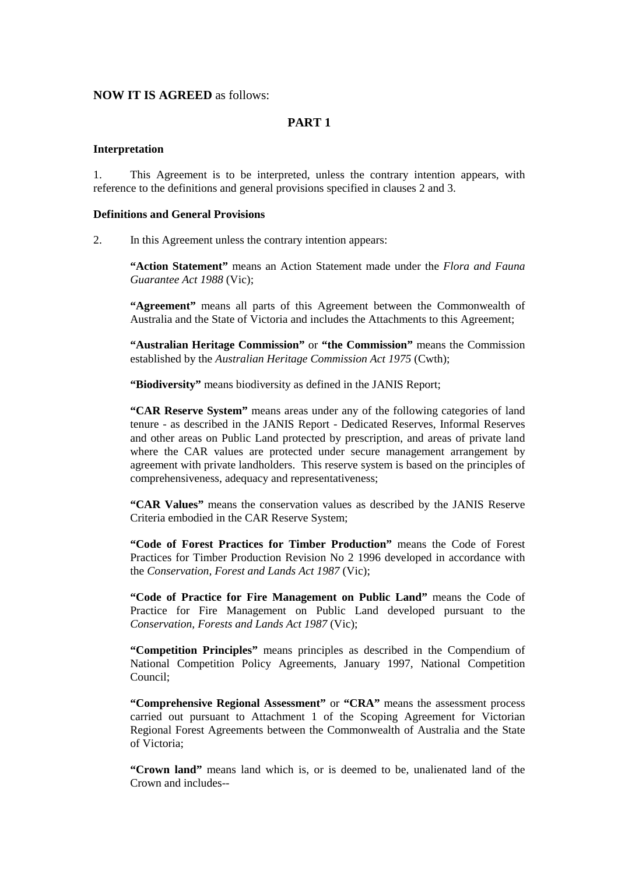### **NOW IT IS AGREED** as follows:

# **PART 1**

#### **Interpretation**

1. This Agreement is to be interpreted, unless the contrary intention appears, with reference to the definitions and general provisions specified in clauses 2 and 3.

#### **Definitions and General Provisions**

2. In this Agreement unless the contrary intention appears:

**"Action Statement"** means an Action Statement made under the *Flora and Fauna Guarantee Act 1988* (Vic);

**"Agreement"** means all parts of this Agreement between the Commonwealth of Australia and the State of Victoria and includes the Attachments to this Agreement;

**"Australian Heritage Commission"** or **"the Commission"** means the Commission established by the *Australian Heritage Commission Act 1975* (Cwth);

**"Biodiversity"** means biodiversity as defined in the JANIS Report;

**"CAR Reserve System"** means areas under any of the following categories of land tenure - as described in the JANIS Report - Dedicated Reserves, Informal Reserves and other areas on Public Land protected by prescription, and areas of private land where the CAR values are protected under secure management arrangement by agreement with private landholders. This reserve system is based on the principles of comprehensiveness, adequacy and representativeness;

**"CAR Values"** means the conservation values as described by the JANIS Reserve Criteria embodied in the CAR Reserve System;

**"Code of Forest Practices for Timber Production"** means the Code of Forest Practices for Timber Production Revision No 2 1996 developed in accordance with the *Conservation, Forest and Lands Act 1987* (Vic);

**"Code of Practice for Fire Management on Public Land"** means the Code of Practice for Fire Management on Public Land developed pursuant to the *Conservation, Forests and Lands Act 1987* (Vic);

**"Competition Principles"** means principles as described in the Compendium of National Competition Policy Agreements, January 1997, National Competition Council;

**"Comprehensive Regional Assessment"** or **"CRA"** means the assessment process carried out pursuant to Attachment 1 of the Scoping Agreement for Victorian Regional Forest Agreements between the Commonwealth of Australia and the State of Victoria;

**"Crown land"** means land which is, or is deemed to be, unalienated land of the Crown and includes--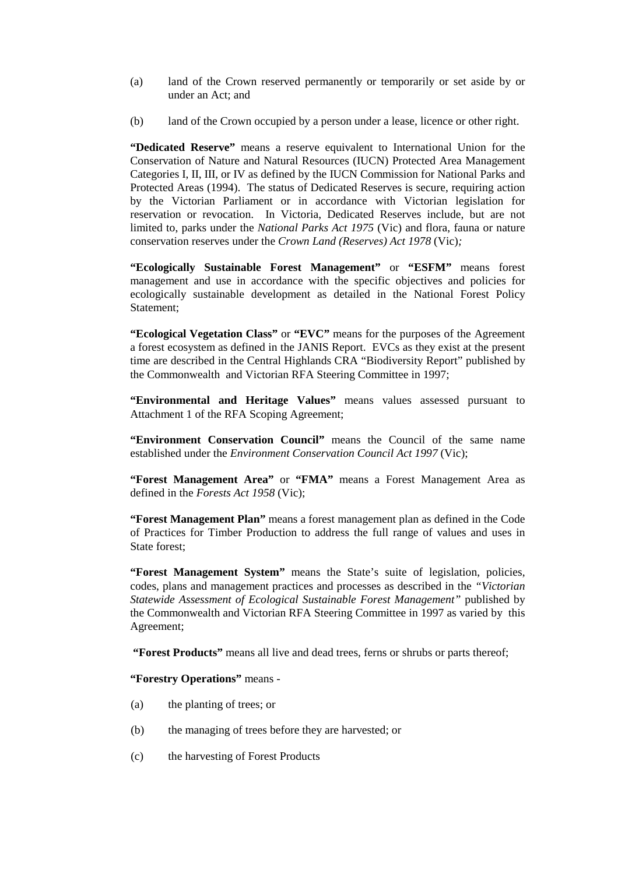- (a) land of the Crown reserved permanently or temporarily or set aside by or under an Act; and
- (b) land of the Crown occupied by a person under a lease, licence or other right.

**"Dedicated Reserve"** means a reserve equivalent to International Union for the Conservation of Nature and Natural Resources (IUCN) Protected Area Management Categories I, II, III, or IV as defined by the IUCN Commission for National Parks and Protected Areas (1994). The status of Dedicated Reserves is secure, requiring action by the Victorian Parliament or in accordance with Victorian legislation for reservation or revocation. In Victoria, Dedicated Reserves include, but are not limited to, parks under the *National Parks Act 1975* (Vic) and flora, fauna or nature conservation reserves under the *Crown Land (Reserves) Act 1978* (Vic)*;*

**"Ecologically Sustainable Forest Management"** or **"ESFM"** means forest management and use in accordance with the specific objectives and policies for ecologically sustainable development as detailed in the National Forest Policy Statement;

**"Ecological Vegetation Class"** or **"EVC"** means for the purposes of the Agreement a forest ecosystem as defined in the JANIS Report. EVCs as they exist at the present time are described in the Central Highlands CRA "Biodiversity Report" published by the Commonwealth and Victorian RFA Steering Committee in 1997;

**"Environmental and Heritage Values"** means values assessed pursuant to Attachment 1 of the RFA Scoping Agreement;

**"Environment Conservation Council"** means the Council of the same name established under the *Environment Conservation Council Act 1997* (Vic);

**"Forest Management Area"** or **"FMA"** means a Forest Management Area as defined in the *Forests Act 1958* (Vic);

**"Forest Management Plan"** means a forest management plan as defined in the Code of Practices for Timber Production to address the full range of values and uses in State forest;

**"Forest Management System"** means the State's suite of legislation, policies, codes, plans and management practices and processes as described in the *"Victorian Statewide Assessment of Ecological Sustainable Forest Management"* published by the Commonwealth and Victorian RFA Steering Committee in 1997 as varied by this Agreement;

 **"Forest Products"** means all live and dead trees, ferns or shrubs or parts thereof;

### **"Forestry Operations"** means -

- (a) the planting of trees; or
- (b) the managing of trees before they are harvested; or
- (c) the harvesting of Forest Products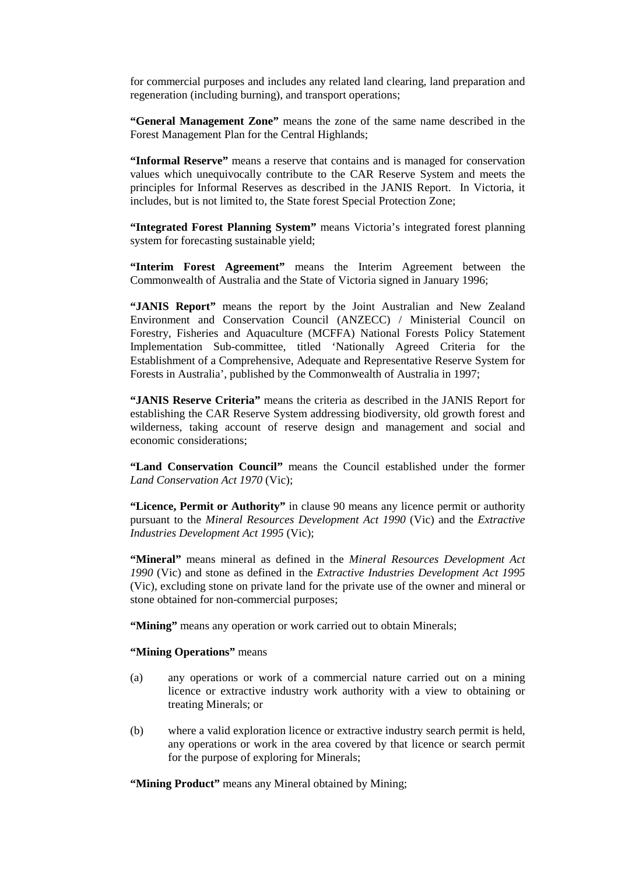for commercial purposes and includes any related land clearing, land preparation and regeneration (including burning), and transport operations;

**"General Management Zone"** means the zone of the same name described in the Forest Management Plan for the Central Highlands;

**"Informal Reserve"** means a reserve that contains and is managed for conservation values which unequivocally contribute to the CAR Reserve System and meets the principles for Informal Reserves as described in the JANIS Report. In Victoria, it includes, but is not limited to, the State forest Special Protection Zone;

**"Integrated Forest Planning System"** means Victoria's integrated forest planning system for forecasting sustainable yield;

**"Interim Forest Agreement"** means the Interim Agreement between the Commonwealth of Australia and the State of Victoria signed in January 1996;

**"JANIS Report"** means the report by the Joint Australian and New Zealand Environment and Conservation Council (ANZECC) / Ministerial Council on Forestry, Fisheries and Aquaculture (MCFFA) National Forests Policy Statement Implementation Sub-committee, titled 'Nationally Agreed Criteria for the Establishment of a Comprehensive, Adequate and Representative Reserve System for Forests in Australia', published by the Commonwealth of Australia in 1997;

**"JANIS Reserve Criteria"** means the criteria as described in the JANIS Report for establishing the CAR Reserve System addressing biodiversity, old growth forest and wilderness, taking account of reserve design and management and social and economic considerations;

**"Land Conservation Council"** means the Council established under the former *Land Conservation Act 1970* (Vic);

**"Licence, Permit or Authority"** in clause 90 means any licence permit or authority pursuant to the *Mineral Resources Development Act 1990* (Vic) and the *Extractive Industries Development Act 1995* (Vic);

**"Mineral"** means mineral as defined in the *Mineral Resources Development Act 1990* (Vic) and stone as defined in the *Extractive Industries Development Act 1995* (Vic), excluding stone on private land for the private use of the owner and mineral or stone obtained for non-commercial purposes;

"Mining" means any operation or work carried out to obtain Minerals;

#### **"Mining Operations"** means

- (a) any operations or work of a commercial nature carried out on a mining licence or extractive industry work authority with a view to obtaining or treating Minerals; or
- (b) where a valid exploration licence or extractive industry search permit is held, any operations or work in the area covered by that licence or search permit for the purpose of exploring for Minerals;

**"Mining Product"** means any Mineral obtained by Mining;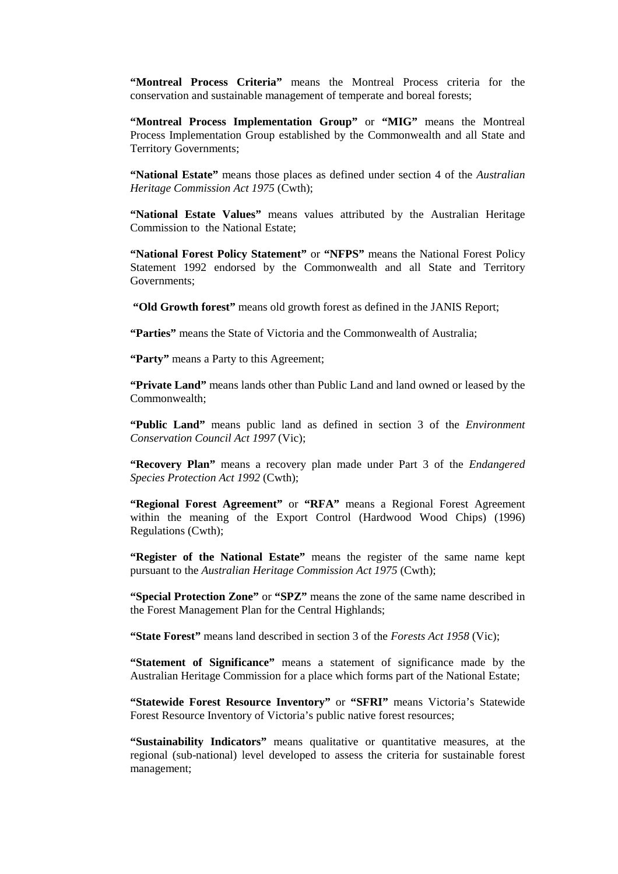**"Montreal Process Criteria"** means the Montreal Process criteria for the conservation and sustainable management of temperate and boreal forests;

**"Montreal Process Implementation Group"** or **"MIG"** means the Montreal Process Implementation Group established by the Commonwealth and all State and Territory Governments;

**"National Estate"** means those places as defined under section 4 of the *Australian Heritage Commission Act 1975* (Cwth);

**"National Estate Values"** means values attributed by the Australian Heritage Commission to the National Estate;

**"National Forest Policy Statement"** or **"NFPS"** means the National Forest Policy Statement 1992 endorsed by the Commonwealth and all State and Territory Governments;

**"Old Growth forest"** means old growth forest as defined in the JANIS Report;

**"Parties"** means the State of Victoria and the Commonwealth of Australia;

**"Party"** means a Party to this Agreement;

**"Private Land"** means lands other than Public Land and land owned or leased by the Commonwealth;

**"Public Land"** means public land as defined in section 3 of the *Environment Conservation Council Act 1997* (Vic);

**"Recovery Plan"** means a recovery plan made under Part 3 of the *Endangered Species Protection Act 1992* (Cwth);

**"Regional Forest Agreement"** or **"RFA"** means a Regional Forest Agreement within the meaning of the Export Control (Hardwood Wood Chips) (1996) Regulations (Cwth);

**"Register of the National Estate"** means the register of the same name kept pursuant to the *Australian Heritage Commission Act 1975* (Cwth);

**"Special Protection Zone"** or **"SPZ"** means the zone of the same name described in the Forest Management Plan for the Central Highlands;

**"State Forest"** means land described in section 3 of the *Forests Act 1958* (Vic);

**"Statement of Significance"** means a statement of significance made by the Australian Heritage Commission for a place which forms part of the National Estate;

**"Statewide Forest Resource Inventory"** or **"SFRI"** means Victoria's Statewide Forest Resource Inventory of Victoria's public native forest resources;

**"Sustainability Indicators"** means qualitative or quantitative measures, at the regional (sub-national) level developed to assess the criteria for sustainable forest management;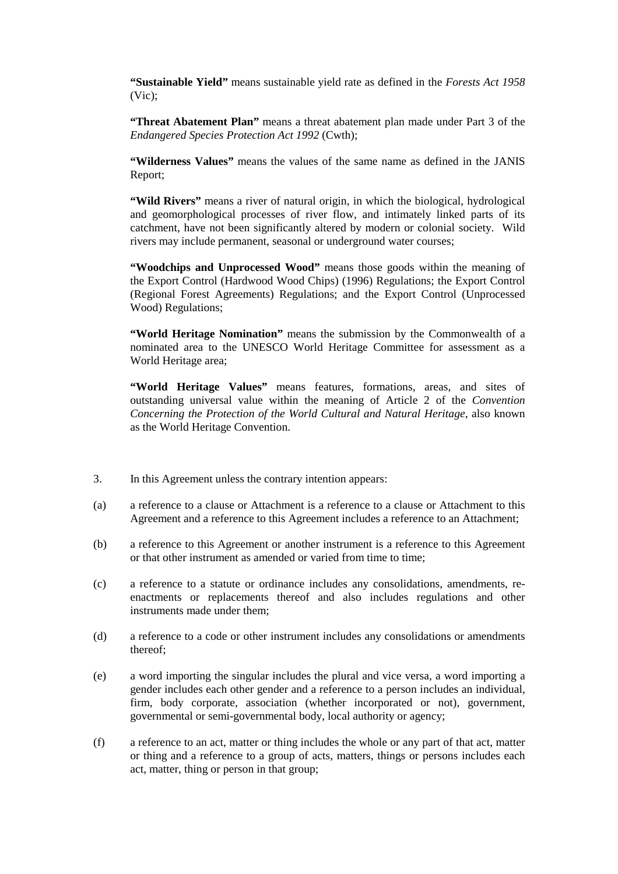**"Sustainable Yield"** means sustainable yield rate as defined in the *Forests Act 1958* (Vic);

**"Threat Abatement Plan"** means a threat abatement plan made under Part 3 of the *Endangered Species Protection Act 1992* (Cwth);

**"Wilderness Values"** means the values of the same name as defined in the JANIS Report;

"Wild Rivers" means a river of natural origin, in which the biological, hydrological and geomorphological processes of river flow, and intimately linked parts of its catchment, have not been significantly altered by modern or colonial society. Wild rivers may include permanent, seasonal or underground water courses;

**"Woodchips and Unprocessed Wood"** means those goods within the meaning of the Export Control (Hardwood Wood Chips) (1996) Regulations; the Export Control (Regional Forest Agreements) Regulations; and the Export Control (Unprocessed Wood) Regulations;

**"World Heritage Nomination"** means the submission by the Commonwealth of a nominated area to the UNESCO World Heritage Committee for assessment as a World Heritage area;

**"World Heritage Values"** means features, formations, areas, and sites of outstanding universal value within the meaning of Article 2 of the *Convention Concerning the Protection of the World Cultural and Natural Heritage*, also known as the World Heritage Convention.

- 3. In this Agreement unless the contrary intention appears:
- (a) a reference to a clause or Attachment is a reference to a clause or Attachment to this Agreement and a reference to this Agreement includes a reference to an Attachment;
- (b) a reference to this Agreement or another instrument is a reference to this Agreement or that other instrument as amended or varied from time to time;
- (c) a reference to a statute or ordinance includes any consolidations, amendments, reenactments or replacements thereof and also includes regulations and other instruments made under them;
- (d) a reference to a code or other instrument includes any consolidations or amendments thereof;
- (e) a word importing the singular includes the plural and vice versa, a word importing a gender includes each other gender and a reference to a person includes an individual, firm, body corporate, association (whether incorporated or not), government, governmental or semi-governmental body, local authority or agency;
- (f) a reference to an act, matter or thing includes the whole or any part of that act, matter or thing and a reference to a group of acts, matters, things or persons includes each act, matter, thing or person in that group;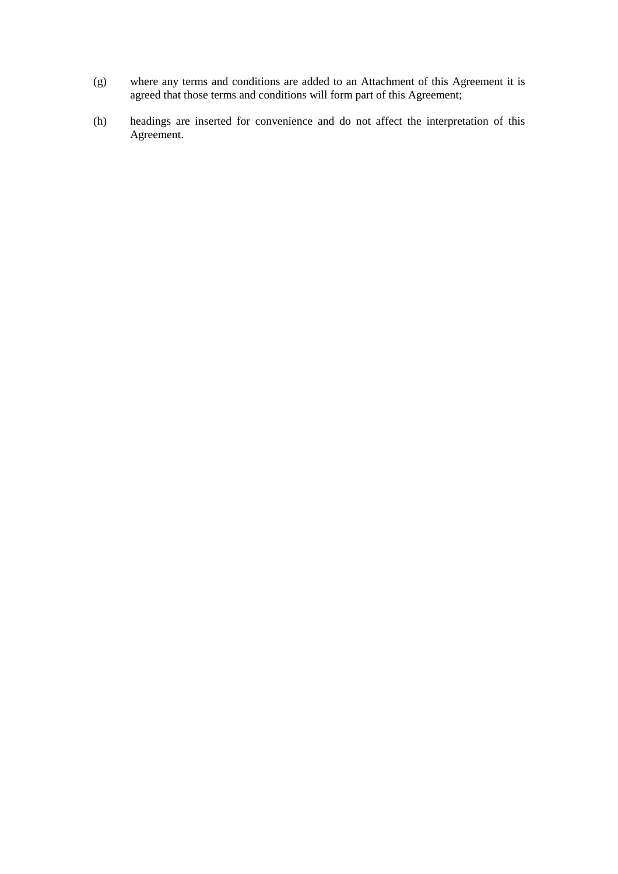- (g) where any terms and conditions are added to an Attachment of this Agreement it is agreed that those terms and conditions will form part of this Agreement;
- (h) headings are inserted for convenience and do not affect the interpretation of this Agreement.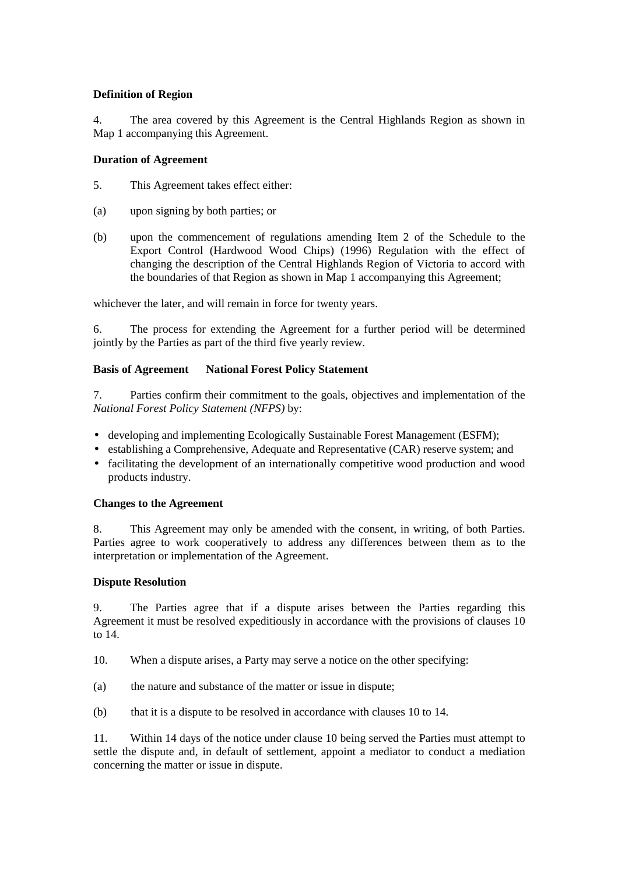# **Definition of Region**

4. The area covered by this Agreement is the Central Highlands Region as shown in Map 1 accompanying this Agreement.

### **Duration of Agreement**

- 5. This Agreement takes effect either:
- (a) upon signing by both parties; or
- (b) upon the commencement of regulations amending Item 2 of the Schedule to the Export Control (Hardwood Wood Chips) (1996) Regulation with the effect of changing the description of the Central Highlands Region of Victoria to accord with the boundaries of that Region as shown in Map 1 accompanying this Agreement;

whichever the later, and will remain in force for twenty years.

6. The process for extending the Agreement for a further period will be determined jointly by the Parties as part of the third five yearly review.

# **Basis of Agreement National Forest Policy Statement**

7. Parties confirm their commitment to the goals, objectives and implementation of the *National Forest Policy Statement (NFPS)* by:

- developing and implementing Ecologically Sustainable Forest Management (ESFM);
- establishing a Comprehensive, Adequate and Representative (CAR) reserve system; and
- facilitating the development of an internationally competitive wood production and wood products industry.

### **Changes to the Agreement**

8. This Agreement may only be amended with the consent, in writing, of both Parties. Parties agree to work cooperatively to address any differences between them as to the interpretation or implementation of the Agreement.

### **Dispute Resolution**

9. The Parties agree that if a dispute arises between the Parties regarding this Agreement it must be resolved expeditiously in accordance with the provisions of clauses 10 to 14.

- 10. When a dispute arises, a Party may serve a notice on the other specifying:
- (a) the nature and substance of the matter or issue in dispute;
- (b) that it is a dispute to be resolved in accordance with clauses 10 to 14.

11. Within 14 days of the notice under clause 10 being served the Parties must attempt to settle the dispute and, in default of settlement, appoint a mediator to conduct a mediation concerning the matter or issue in dispute.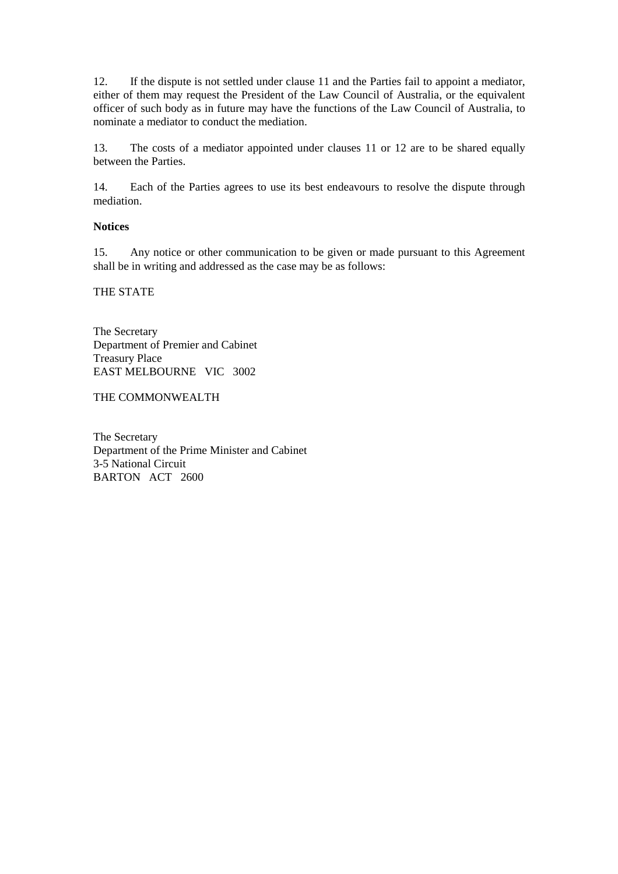12. If the dispute is not settled under clause 11 and the Parties fail to appoint a mediator, either of them may request the President of the Law Council of Australia, or the equivalent officer of such body as in future may have the functions of the Law Council of Australia, to nominate a mediator to conduct the mediation.

13. The costs of a mediator appointed under clauses 11 or 12 are to be shared equally between the Parties.

14. Each of the Parties agrees to use its best endeavours to resolve the dispute through mediation.

### **Notices**

15. Any notice or other communication to be given or made pursuant to this Agreement shall be in writing and addressed as the case may be as follows:

THE STATE

The Secretary Department of Premier and Cabinet Treasury Place EAST MELBOURNE VIC 3002

THE COMMONWEALTH

The Secretary Department of the Prime Minister and Cabinet 3-5 National Circuit BARTON ACT 2600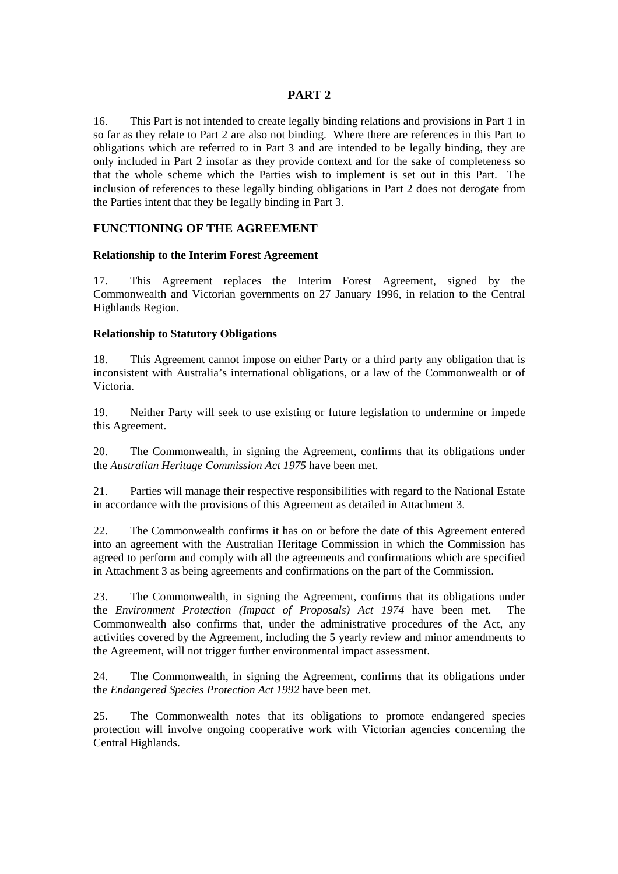# **PART 2**

16. This Part is not intended to create legally binding relations and provisions in Part 1 in so far as they relate to Part 2 are also not binding. Where there are references in this Part to obligations which are referred to in Part 3 and are intended to be legally binding, they are only included in Part 2 insofar as they provide context and for the sake of completeness so that the whole scheme which the Parties wish to implement is set out in this Part. The inclusion of references to these legally binding obligations in Part 2 does not derogate from the Parties intent that they be legally binding in Part 3.

# **FUNCTIONING OF THE AGREEMENT**

### **Relationship to the Interim Forest Agreement**

17. This Agreement replaces the Interim Forest Agreement, signed by the Commonwealth and Victorian governments on 27 January 1996, in relation to the Central Highlands Region.

### **Relationship to Statutory Obligations**

18. This Agreement cannot impose on either Party or a third party any obligation that is inconsistent with Australia's international obligations, or a law of the Commonwealth or of Victoria.

19. Neither Party will seek to use existing or future legislation to undermine or impede this Agreement.

20. The Commonwealth, in signing the Agreement, confirms that its obligations under the *Australian Heritage Commission Act 1975* have been met.

21. Parties will manage their respective responsibilities with regard to the National Estate in accordance with the provisions of this Agreement as detailed in Attachment 3.

22. The Commonwealth confirms it has on or before the date of this Agreement entered into an agreement with the Australian Heritage Commission in which the Commission has agreed to perform and comply with all the agreements and confirmations which are specified in Attachment 3 as being agreements and confirmations on the part of the Commission.

23. The Commonwealth, in signing the Agreement, confirms that its obligations under the *Environment Protection (Impact of Proposals) Act 1974* have been met. The Commonwealth also confirms that, under the administrative procedures of the Act, any activities covered by the Agreement, including the 5 yearly review and minor amendments to the Agreement, will not trigger further environmental impact assessment.

24. The Commonwealth, in signing the Agreement, confirms that its obligations under the *Endangered Species Protection Act 1992* have been met.

25. The Commonwealth notes that its obligations to promote endangered species protection will involve ongoing cooperative work with Victorian agencies concerning the Central Highlands.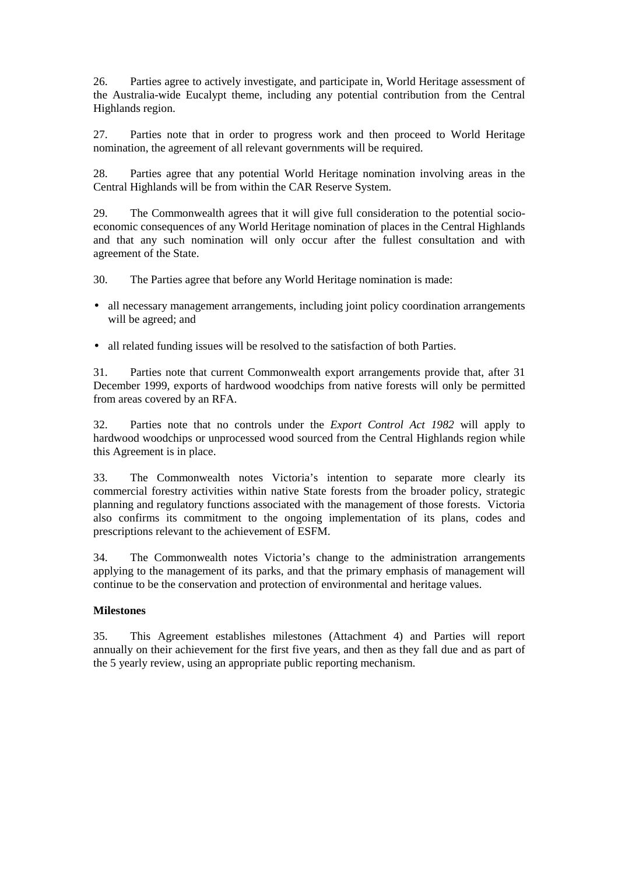26. Parties agree to actively investigate, and participate in, World Heritage assessment of the Australia-wide Eucalypt theme, including any potential contribution from the Central Highlands region.

27. Parties note that in order to progress work and then proceed to World Heritage nomination, the agreement of all relevant governments will be required.

28. Parties agree that any potential World Heritage nomination involving areas in the Central Highlands will be from within the CAR Reserve System.

29. The Commonwealth agrees that it will give full consideration to the potential socioeconomic consequences of any World Heritage nomination of places in the Central Highlands and that any such nomination will only occur after the fullest consultation and with agreement of the State.

30. The Parties agree that before any World Heritage nomination is made:

- all necessary management arrangements, including joint policy coordination arrangements will be agreed; and
- all related funding issues will be resolved to the satisfaction of both Parties.

31. Parties note that current Commonwealth export arrangements provide that, after 31 December 1999, exports of hardwood woodchips from native forests will only be permitted from areas covered by an RFA.

32. Parties note that no controls under the *Export Control Act 1982* will apply to hardwood woodchips or unprocessed wood sourced from the Central Highlands region while this Agreement is in place.

33. The Commonwealth notes Victoria's intention to separate more clearly its commercial forestry activities within native State forests from the broader policy, strategic planning and regulatory functions associated with the management of those forests. Victoria also confirms its commitment to the ongoing implementation of its plans, codes and prescriptions relevant to the achievement of ESFM.

34. The Commonwealth notes Victoria's change to the administration arrangements applying to the management of its parks, and that the primary emphasis of management will continue to be the conservation and protection of environmental and heritage values.

### **Milestones**

35. This Agreement establishes milestones (Attachment 4) and Parties will report annually on their achievement for the first five years, and then as they fall due and as part of the 5 yearly review, using an appropriate public reporting mechanism.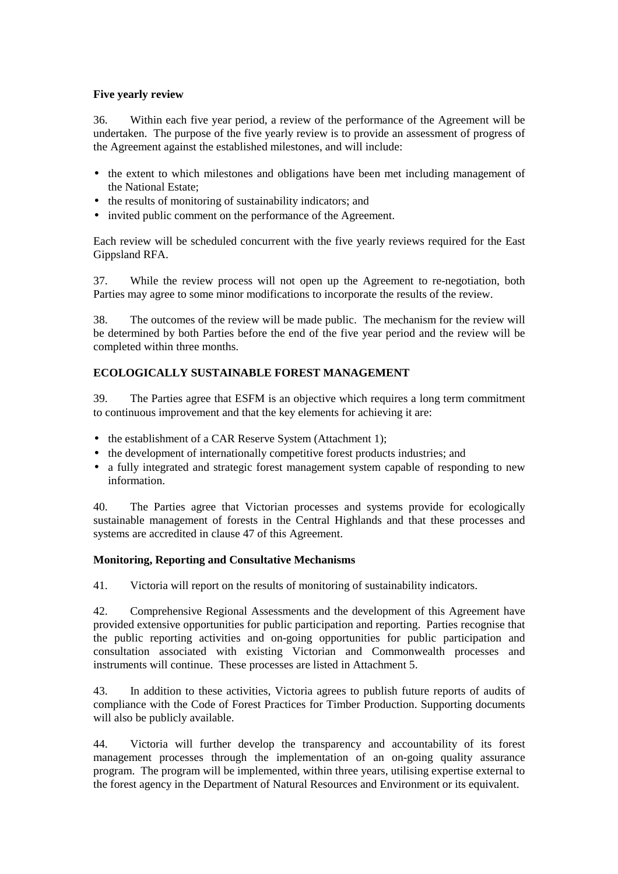# **Five yearly review**

36. Within each five year period, a review of the performance of the Agreement will be undertaken. The purpose of the five yearly review is to provide an assessment of progress of the Agreement against the established milestones, and will include:

- the extent to which milestones and obligations have been met including management of the National Estate;
- the results of monitoring of sustainability indicators; and
- invited public comment on the performance of the Agreement.

Each review will be scheduled concurrent with the five yearly reviews required for the East Gippsland RFA.

37. While the review process will not open up the Agreement to re-negotiation, both Parties may agree to some minor modifications to incorporate the results of the review.

38. The outcomes of the review will be made public. The mechanism for the review will be determined by both Parties before the end of the five year period and the review will be completed within three months.

# **ECOLOGICALLY SUSTAINABLE FOREST MANAGEMENT**

39. The Parties agree that ESFM is an objective which requires a long term commitment to continuous improvement and that the key elements for achieving it are:

- the establishment of a CAR Reserve System (Attachment 1);
- the development of internationally competitive forest products industries; and
- a fully integrated and strategic forest management system capable of responding to new information.

40. The Parties agree that Victorian processes and systems provide for ecologically sustainable management of forests in the Central Highlands and that these processes and systems are accredited in clause 47 of this Agreement.

### **Monitoring, Reporting and Consultative Mechanisms**

41. Victoria will report on the results of monitoring of sustainability indicators.

42. Comprehensive Regional Assessments and the development of this Agreement have provided extensive opportunities for public participation and reporting. Parties recognise that the public reporting activities and on-going opportunities for public participation and consultation associated with existing Victorian and Commonwealth processes and instruments will continue. These processes are listed in Attachment 5.

43. In addition to these activities, Victoria agrees to publish future reports of audits of compliance with the Code of Forest Practices for Timber Production. Supporting documents will also be publicly available.

44. Victoria will further develop the transparency and accountability of its forest management processes through the implementation of an on-going quality assurance program. The program will be implemented, within three years, utilising expertise external to the forest agency in the Department of Natural Resources and Environment or its equivalent.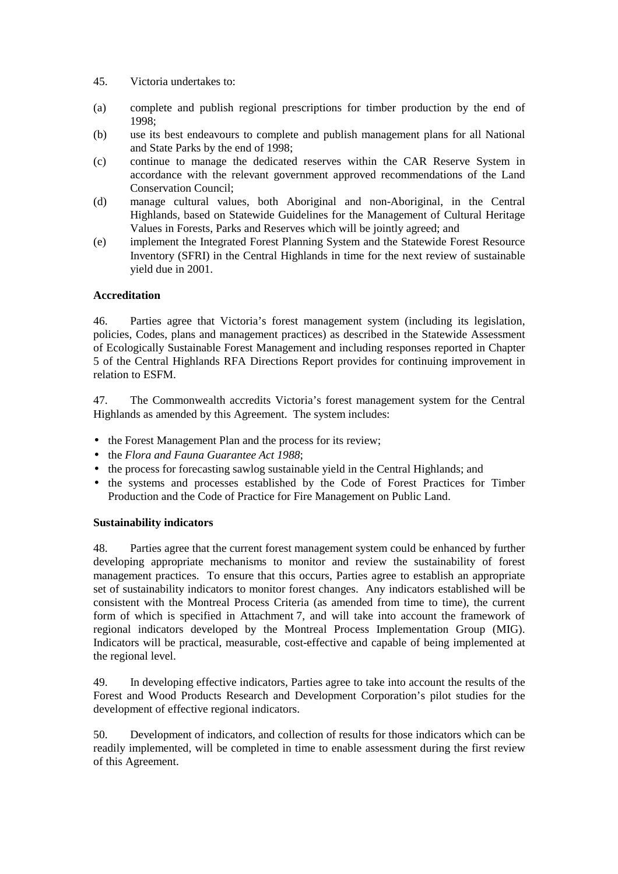- 45. Victoria undertakes to:
- (a) complete and publish regional prescriptions for timber production by the end of 1998;
- (b) use its best endeavours to complete and publish management plans for all National and State Parks by the end of 1998;
- (c) continue to manage the dedicated reserves within the CAR Reserve System in accordance with the relevant government approved recommendations of the Land Conservation Council;
- (d) manage cultural values, both Aboriginal and non-Aboriginal, in the Central Highlands, based on Statewide Guidelines for the Management of Cultural Heritage Values in Forests, Parks and Reserves which will be jointly agreed; and
- (e) implement the Integrated Forest Planning System and the Statewide Forest Resource Inventory (SFRI) in the Central Highlands in time for the next review of sustainable yield due in 2001.

# **Accreditation**

46. Parties agree that Victoria's forest management system (including its legislation, policies, Codes, plans and management practices) as described in the Statewide Assessment of Ecologically Sustainable Forest Management and including responses reported in Chapter 5 of the Central Highlands RFA Directions Report provides for continuing improvement in relation to ESFM.

47. The Commonwealth accredits Victoria's forest management system for the Central Highlands as amended by this Agreement. The system includes:

- the Forest Management Plan and the process for its review;
- the *Flora and Fauna Guarantee Act 1988*;
- the process for forecasting sawlog sustainable yield in the Central Highlands; and
- the systems and processes established by the Code of Forest Practices for Timber Production and the Code of Practice for Fire Management on Public Land.

### **Sustainability indicators**

48. Parties agree that the current forest management system could be enhanced by further developing appropriate mechanisms to monitor and review the sustainability of forest management practices. To ensure that this occurs, Parties agree to establish an appropriate set of sustainability indicators to monitor forest changes. Any indicators established will be consistent with the Montreal Process Criteria (as amended from time to time), the current form of which is specified in Attachment 7, and will take into account the framework of regional indicators developed by the Montreal Process Implementation Group (MIG). Indicators will be practical, measurable, cost-effective and capable of being implemented at the regional level.

49. In developing effective indicators, Parties agree to take into account the results of the Forest and Wood Products Research and Development Corporation's pilot studies for the development of effective regional indicators.

50. Development of indicators, and collection of results for those indicators which can be readily implemented, will be completed in time to enable assessment during the first review of this Agreement.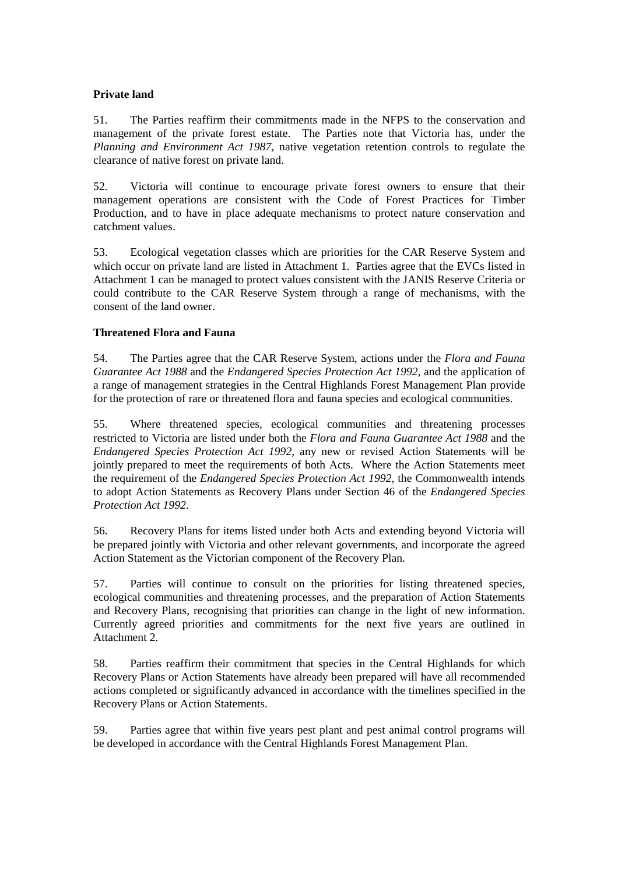# **Private land**

51. The Parties reaffirm their commitments made in the NFPS to the conservation and management of the private forest estate. The Parties note that Victoria has, under the *Planning and Environment Act 1987*, native vegetation retention controls to regulate the clearance of native forest on private land.

52. Victoria will continue to encourage private forest owners to ensure that their management operations are consistent with the Code of Forest Practices for Timber Production, and to have in place adequate mechanisms to protect nature conservation and catchment values.

53. Ecological vegetation classes which are priorities for the CAR Reserve System and which occur on private land are listed in Attachment 1. Parties agree that the EVCs listed in Attachment 1 can be managed to protect values consistent with the JANIS Reserve Criteria or could contribute to the CAR Reserve System through a range of mechanisms, with the consent of the land owner.

# **Threatened Flora and Fauna**

54. The Parties agree that the CAR Reserve System, actions under the *Flora and Fauna Guarantee Act 1988* and the *Endangered Species Protection Act 1992*, and the application of a range of management strategies in the Central Highlands Forest Management Plan provide for the protection of rare or threatened flora and fauna species and ecological communities.

55. Where threatened species, ecological communities and threatening processes restricted to Victoria are listed under both the *Flora and Fauna Guarantee Act 1988* and the *Endangered Species Protection Act 1992*, any new or revised Action Statements will be jointly prepared to meet the requirements of both Acts. Where the Action Statements meet the requirement of the *Endangered Species Protection Act 1992*, the Commonwealth intends to adopt Action Statements as Recovery Plans under Section 46 of the *Endangered Species Protection Act 1992*.

56. Recovery Plans for items listed under both Acts and extending beyond Victoria will be prepared jointly with Victoria and other relevant governments, and incorporate the agreed Action Statement as the Victorian component of the Recovery Plan.

57. Parties will continue to consult on the priorities for listing threatened species, ecological communities and threatening processes, and the preparation of Action Statements and Recovery Plans, recognising that priorities can change in the light of new information. Currently agreed priorities and commitments for the next five years are outlined in Attachment 2.

58. Parties reaffirm their commitment that species in the Central Highlands for which Recovery Plans or Action Statements have already been prepared will have all recommended actions completed or significantly advanced in accordance with the timelines specified in the Recovery Plans or Action Statements.

59. Parties agree that within five years pest plant and pest animal control programs will be developed in accordance with the Central Highlands Forest Management Plan.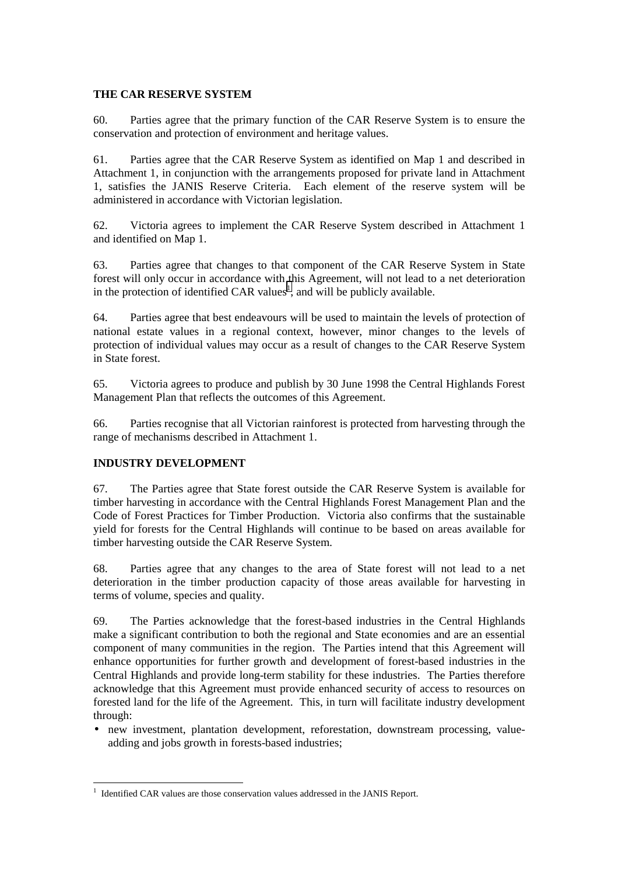# **THE CAR RESERVE SYSTEM**

60. Parties agree that the primary function of the CAR Reserve System is to ensure the conservation and protection of environment and heritage values.

61. Parties agree that the CAR Reserve System as identified on Map 1 and described in Attachment 1, in conjunction with the arrangements proposed for private land in Attachment 1, satisfies the JANIS Reserve Criteria. Each element of the reserve system will be administered in accordance with Victorian legislation.

62. Victoria agrees to implement the CAR Reserve System described in Attachment 1 and identified on Map 1.

63. Parties agree that changes to that component of the CAR Reserve System in State forest will only occur in accordance with this Agreement, will not lead to a net deterioration in the protection of identified CAR values<sup>1</sup>, and will be publicly available.

64. Parties agree that best endeavours will be used to maintain the levels of protection of national estate values in a regional context, however, minor changes to the levels of protection of individual values may occur as a result of changes to the CAR Reserve System in State forest.

65. Victoria agrees to produce and publish by 30 June 1998 the Central Highlands Forest Management Plan that reflects the outcomes of this Agreement.

66. Parties recognise that all Victorian rainforest is protected from harvesting through the range of mechanisms described in Attachment 1.

# **INDUSTRY DEVELOPMENT**

67. The Parties agree that State forest outside the CAR Reserve System is available for timber harvesting in accordance with the Central Highlands Forest Management Plan and the Code of Forest Practices for Timber Production. Victoria also confirms that the sustainable yield for forests for the Central Highlands will continue to be based on areas available for timber harvesting outside the CAR Reserve System.

68. Parties agree that any changes to the area of State forest will not lead to a net deterioration in the timber production capacity of those areas available for harvesting in terms of volume, species and quality.

69. The Parties acknowledge that the forest-based industries in the Central Highlands make a significant contribution to both the regional and State economies and are an essential component of many communities in the region. The Parties intend that this Agreement will enhance opportunities for further growth and development of forest-based industries in the Central Highlands and provide long-term stability for these industries. The Parties therefore acknowledge that this Agreement must provide enhanced security of access to resources on forested land for the life of the Agreement. This, in turn will facilitate industry development through:

• new investment, plantation development, reforestation, downstream processing, valueadding and jobs growth in forests-based industries;

<sup>&</sup>lt;sup>1</sup> Identified CAR values are those conservation values addressed in the JANIS Report.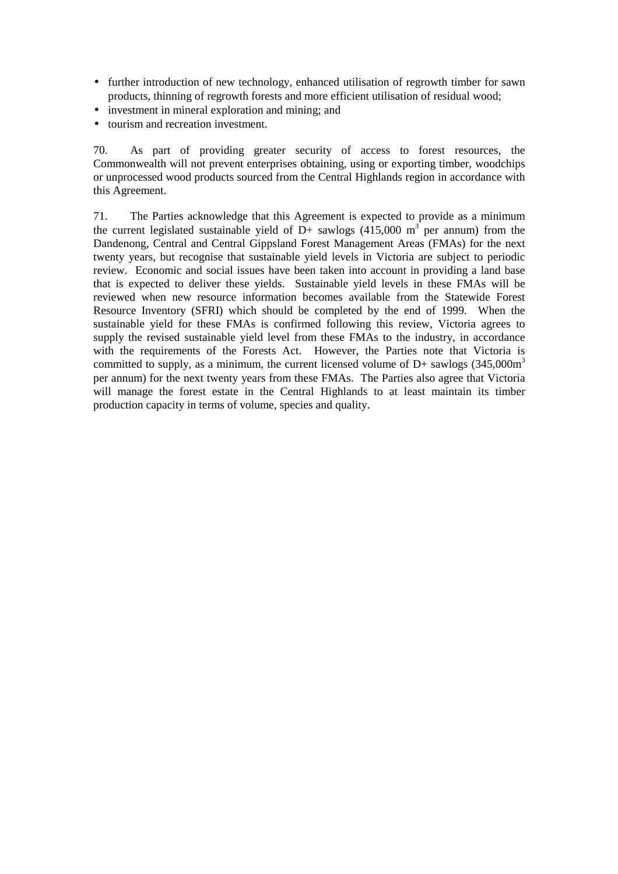- further introduction of new technology, enhanced utilisation of regrowth timber for sawn products, thinning of regrowth forests and more efficient utilisation of residual wood;
- investment in mineral exploration and mining; and
- tourism and recreation investment.

70. As part of providing greater security of access to forest resources, the Commonwealth will not prevent enterprises obtaining, using or exporting timber, woodchips or unprocessed wood products sourced from the Central Highlands region in accordance with this Agreement.

71. The Parties acknowledge that this Agreement is expected to provide as a minimum the current legislated sustainable yield of D+ sawlogs  $(415,000 \text{ m}^3)$  per annum) from the Dandenong, Central and Central Gippsland Forest Management Areas (FMAs) for the next twenty years, but recognise that sustainable yield levels in Victoria are subject to periodic review. Economic and social issues have been taken into account in providing a land base that is expected to deliver these yields. Sustainable yield levels in these FMAs will be reviewed when new resource information becomes available from the Statewide Forest Resource Inventory (SFRI) which should be completed by the end of 1999. When the sustainable yield for these FMAs is confirmed following this review, Victoria agrees to supply the revised sustainable yield level from these FMAs to the industry, in accordance with the requirements of the Forests Act. However, the Parties note that Victoria is committed to supply, as a minimum, the current licensed volume of  $D$ + sawlogs (345,000m<sup>3</sup>) per annum) for the next twenty years from these FMAs. The Parties also agree that Victoria will manage the forest estate in the Central Highlands to at least maintain its timber production capacity in terms of volume, species and quality.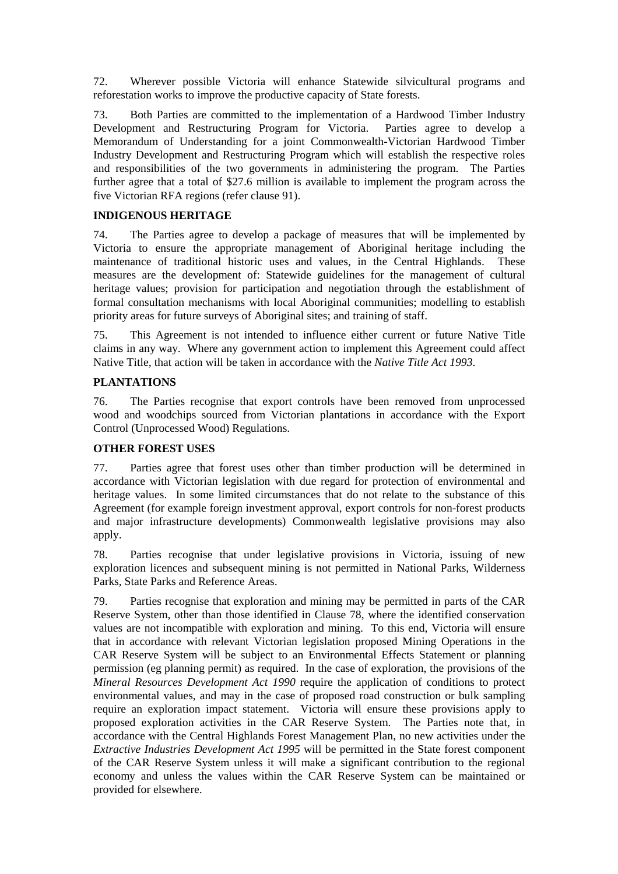72. Wherever possible Victoria will enhance Statewide silvicultural programs and reforestation works to improve the productive capacity of State forests.

73. Both Parties are committed to the implementation of a Hardwood Timber Industry Development and Restructuring Program for Victoria. Parties agree to develop a Memorandum of Understanding for a joint Commonwealth-Victorian Hardwood Timber Industry Development and Restructuring Program which will establish the respective roles and responsibilities of the two governments in administering the program. The Parties further agree that a total of \$27.6 million is available to implement the program across the five Victorian RFA regions (refer clause 91).

# **INDIGENOUS HERITAGE**

74. The Parties agree to develop a package of measures that will be implemented by Victoria to ensure the appropriate management of Aboriginal heritage including the maintenance of traditional historic uses and values, in the Central Highlands. These measures are the development of: Statewide guidelines for the management of cultural heritage values; provision for participation and negotiation through the establishment of formal consultation mechanisms with local Aboriginal communities; modelling to establish priority areas for future surveys of Aboriginal sites; and training of staff.

75. This Agreement is not intended to influence either current or future Native Title claims in any way. Where any government action to implement this Agreement could affect Native Title, that action will be taken in accordance with the *Native Title Act 1993*.

# **PLANTATIONS**

76. The Parties recognise that export controls have been removed from unprocessed wood and woodchips sourced from Victorian plantations in accordance with the Export Control (Unprocessed Wood) Regulations.

### **OTHER FOREST USES**

77. Parties agree that forest uses other than timber production will be determined in accordance with Victorian legislation with due regard for protection of environmental and heritage values. In some limited circumstances that do not relate to the substance of this Agreement (for example foreign investment approval, export controls for non-forest products and major infrastructure developments) Commonwealth legislative provisions may also apply.

78. Parties recognise that under legislative provisions in Victoria, issuing of new exploration licences and subsequent mining is not permitted in National Parks, Wilderness Parks, State Parks and Reference Areas.

79. Parties recognise that exploration and mining may be permitted in parts of the CAR Reserve System, other than those identified in Clause 78, where the identified conservation values are not incompatible with exploration and mining. To this end, Victoria will ensure that in accordance with relevant Victorian legislation proposed Mining Operations in the CAR Reserve System will be subject to an Environmental Effects Statement or planning permission (eg planning permit) as required. In the case of exploration, the provisions of the *Mineral Resources Development Act 1990* require the application of conditions to protect environmental values, and may in the case of proposed road construction or bulk sampling require an exploration impact statement. Victoria will ensure these provisions apply to proposed exploration activities in the CAR Reserve System. The Parties note that, in accordance with the Central Highlands Forest Management Plan, no new activities under the *Extractive Industries Development Act 1995* will be permitted in the State forest component of the CAR Reserve System unless it will make a significant contribution to the regional economy and unless the values within the CAR Reserve System can be maintained or provided for elsewhere.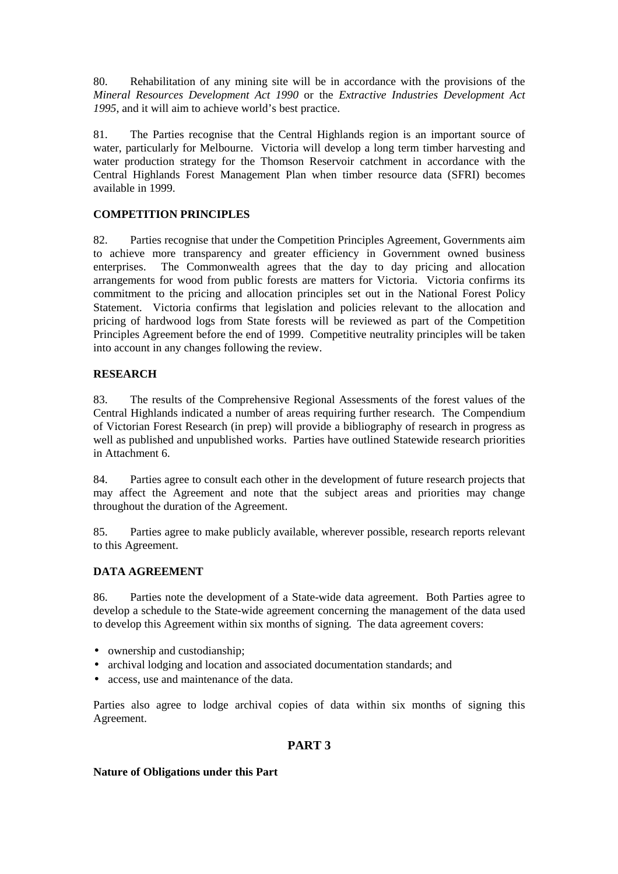80. Rehabilitation of any mining site will be in accordance with the provisions of the *Mineral Resources Development Act 1990* or the *Extractive Industries Development Act 1995*, and it will aim to achieve world's best practice.

81. The Parties recognise that the Central Highlands region is an important source of water, particularly for Melbourne. Victoria will develop a long term timber harvesting and water production strategy for the Thomson Reservoir catchment in accordance with the Central Highlands Forest Management Plan when timber resource data (SFRI) becomes available in 1999.

# **COMPETITION PRINCIPLES**

82. Parties recognise that under the Competition Principles Agreement, Governments aim to achieve more transparency and greater efficiency in Government owned business enterprises. The Commonwealth agrees that the day to day pricing and allocation arrangements for wood from public forests are matters for Victoria. Victoria confirms its commitment to the pricing and allocation principles set out in the National Forest Policy Statement. Victoria confirms that legislation and policies relevant to the allocation and pricing of hardwood logs from State forests will be reviewed as part of the Competition Principles Agreement before the end of 1999. Competitive neutrality principles will be taken into account in any changes following the review.

# **RESEARCH**

83. The results of the Comprehensive Regional Assessments of the forest values of the Central Highlands indicated a number of areas requiring further research. The Compendium of Victorian Forest Research (in prep) will provide a bibliography of research in progress as well as published and unpublished works. Parties have outlined Statewide research priorities in Attachment 6.

84. Parties agree to consult each other in the development of future research projects that may affect the Agreement and note that the subject areas and priorities may change throughout the duration of the Agreement.

85. Parties agree to make publicly available, wherever possible, research reports relevant to this Agreement.

# **DATA AGREEMENT**

86. Parties note the development of a State-wide data agreement. Both Parties agree to develop a schedule to the State-wide agreement concerning the management of the data used to develop this Agreement within six months of signing. The data agreement covers:

- ownership and custodianship;
- archival lodging and location and associated documentation standards; and
- access, use and maintenance of the data.

Parties also agree to lodge archival copies of data within six months of signing this Agreement.

# **PART 3**

# **Nature of Obligations under this Part**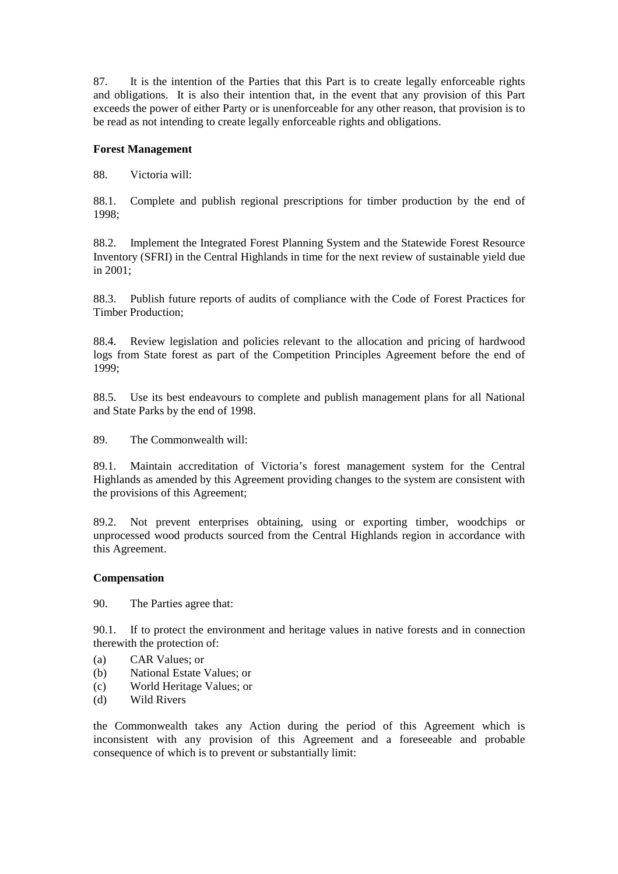87. It is the intention of the Parties that this Part is to create legally enforceable rights and obligations. It is also their intention that, in the event that any provision of this Part exceeds the power of either Party or is unenforceable for any other reason, that provision is to be read as not intending to create legally enforceable rights and obligations.

# **Forest Management**

88. Victoria will:

88.1. Complete and publish regional prescriptions for timber production by the end of 1998;

88.2. Implement the Integrated Forest Planning System and the Statewide Forest Resource Inventory (SFRI) in the Central Highlands in time for the next review of sustainable yield due in 2001;

88.3. Publish future reports of audits of compliance with the Code of Forest Practices for Timber Production;

88.4. Review legislation and policies relevant to the allocation and pricing of hardwood logs from State forest as part of the Competition Principles Agreement before the end of 1999;

88.5. Use its best endeavours to complete and publish management plans for all National and State Parks by the end of 1998.

89. The Commonwealth will:

89.1. Maintain accreditation of Victoria's forest management system for the Central Highlands as amended by this Agreement providing changes to the system are consistent with the provisions of this Agreement;

89.2. Not prevent enterprises obtaining, using or exporting timber, woodchips or unprocessed wood products sourced from the Central Highlands region in accordance with this Agreement.

### **Compensation**

90. The Parties agree that:

90.1. If to protect the environment and heritage values in native forests and in connection therewith the protection of:

- (a) CAR Values; or
- (b) National Estate Values; or
- (c) World Heritage Values; or
- (d) Wild Rivers

the Commonwealth takes any Action during the period of this Agreement which is inconsistent with any provision of this Agreement and a foreseeable and probable consequence of which is to prevent or substantially limit: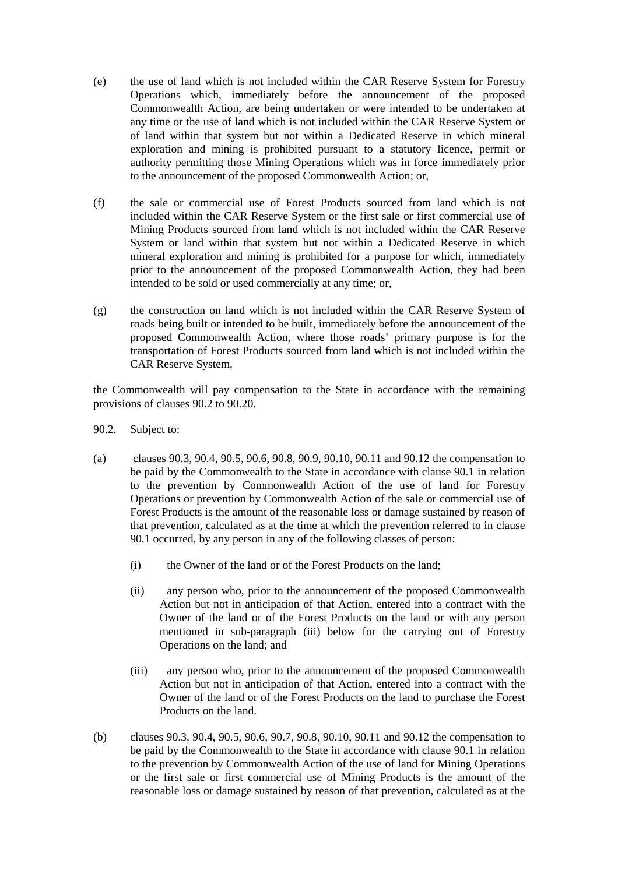- (e) the use of land which is not included within the CAR Reserve System for Forestry Operations which, immediately before the announcement of the proposed Commonwealth Action, are being undertaken or were intended to be undertaken at any time or the use of land which is not included within the CAR Reserve System or of land within that system but not within a Dedicated Reserve in which mineral exploration and mining is prohibited pursuant to a statutory licence, permit or authority permitting those Mining Operations which was in force immediately prior to the announcement of the proposed Commonwealth Action; or,
- (f) the sale or commercial use of Forest Products sourced from land which is not included within the CAR Reserve System or the first sale or first commercial use of Mining Products sourced from land which is not included within the CAR Reserve System or land within that system but not within a Dedicated Reserve in which mineral exploration and mining is prohibited for a purpose for which, immediately prior to the announcement of the proposed Commonwealth Action, they had been intended to be sold or used commercially at any time; or,
- (g) the construction on land which is not included within the CAR Reserve System of roads being built or intended to be built, immediately before the announcement of the proposed Commonwealth Action, where those roads' primary purpose is for the transportation of Forest Products sourced from land which is not included within the CAR Reserve System,

the Commonwealth will pay compensation to the State in accordance with the remaining provisions of clauses 90.2 to 90.20.

- 90.2. Subject to:
- (a) clauses 90.3, 90.4, 90.5, 90.6, 90.8, 90.9, 90.10, 90.11 and 90.12 the compensation to be paid by the Commonwealth to the State in accordance with clause 90.1 in relation to the prevention by Commonwealth Action of the use of land for Forestry Operations or prevention by Commonwealth Action of the sale or commercial use of Forest Products is the amount of the reasonable loss or damage sustained by reason of that prevention, calculated as at the time at which the prevention referred to in clause 90.1 occurred, by any person in any of the following classes of person:
	- (i) the Owner of the land or of the Forest Products on the land;
	- (ii) any person who, prior to the announcement of the proposed Commonwealth Action but not in anticipation of that Action, entered into a contract with the Owner of the land or of the Forest Products on the land or with any person mentioned in sub-paragraph (iii) below for the carrying out of Forestry Operations on the land; and
	- (iii) any person who, prior to the announcement of the proposed Commonwealth Action but not in anticipation of that Action, entered into a contract with the Owner of the land or of the Forest Products on the land to purchase the Forest Products on the land.
- (b) clauses 90.3, 90.4, 90.5, 90.6, 90.7, 90.8, 90.10, 90.11 and 90.12 the compensation to be paid by the Commonwealth to the State in accordance with clause 90.1 in relation to the prevention by Commonwealth Action of the use of land for Mining Operations or the first sale or first commercial use of Mining Products is the amount of the reasonable loss or damage sustained by reason of that prevention, calculated as at the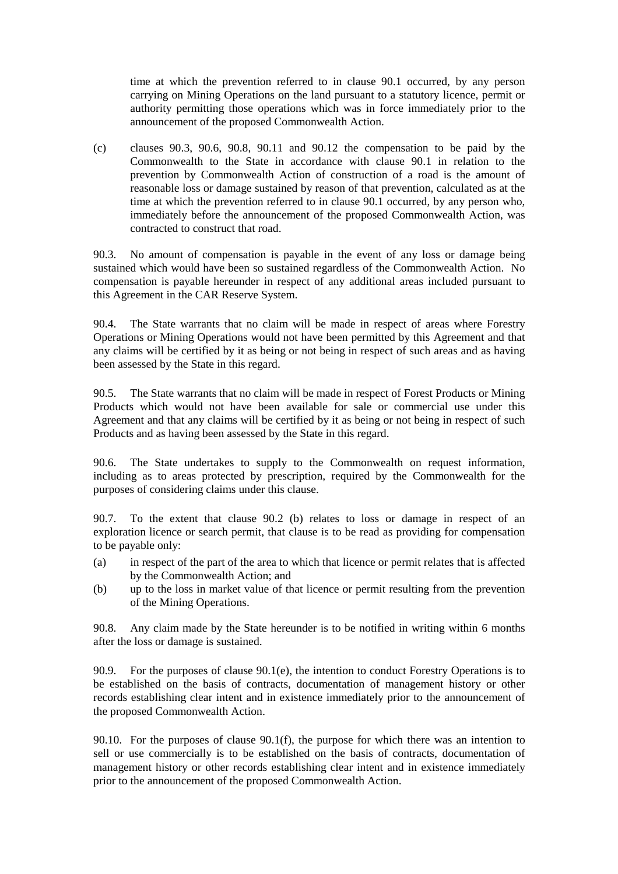time at which the prevention referred to in clause 90.1 occurred, by any person carrying on Mining Operations on the land pursuant to a statutory licence, permit or authority permitting those operations which was in force immediately prior to the announcement of the proposed Commonwealth Action.

(c) clauses 90.3, 90.6, 90.8, 90.11 and 90.12 the compensation to be paid by the Commonwealth to the State in accordance with clause 90.1 in relation to the prevention by Commonwealth Action of construction of a road is the amount of reasonable loss or damage sustained by reason of that prevention, calculated as at the time at which the prevention referred to in clause 90.1 occurred, by any person who, immediately before the announcement of the proposed Commonwealth Action, was contracted to construct that road.

90.3. No amount of compensation is payable in the event of any loss or damage being sustained which would have been so sustained regardless of the Commonwealth Action. No compensation is payable hereunder in respect of any additional areas included pursuant to this Agreement in the CAR Reserve System.

90.4. The State warrants that no claim will be made in respect of areas where Forestry Operations or Mining Operations would not have been permitted by this Agreement and that any claims will be certified by it as being or not being in respect of such areas and as having been assessed by the State in this regard.

90.5. The State warrants that no claim will be made in respect of Forest Products or Mining Products which would not have been available for sale or commercial use under this Agreement and that any claims will be certified by it as being or not being in respect of such Products and as having been assessed by the State in this regard.

90.6. The State undertakes to supply to the Commonwealth on request information, including as to areas protected by prescription, required by the Commonwealth for the purposes of considering claims under this clause.

90.7. To the extent that clause 90.2 (b) relates to loss or damage in respect of an exploration licence or search permit, that clause is to be read as providing for compensation to be payable only:

- (a) in respect of the part of the area to which that licence or permit relates that is affected by the Commonwealth Action; and
- (b) up to the loss in market value of that licence or permit resulting from the prevention of the Mining Operations.

90.8. Any claim made by the State hereunder is to be notified in writing within 6 months after the loss or damage is sustained.

90.9. For the purposes of clause 90.1(e), the intention to conduct Forestry Operations is to be established on the basis of contracts, documentation of management history or other records establishing clear intent and in existence immediately prior to the announcement of the proposed Commonwealth Action.

90.10. For the purposes of clause 90.1(f), the purpose for which there was an intention to sell or use commercially is to be established on the basis of contracts, documentation of management history or other records establishing clear intent and in existence immediately prior to the announcement of the proposed Commonwealth Action.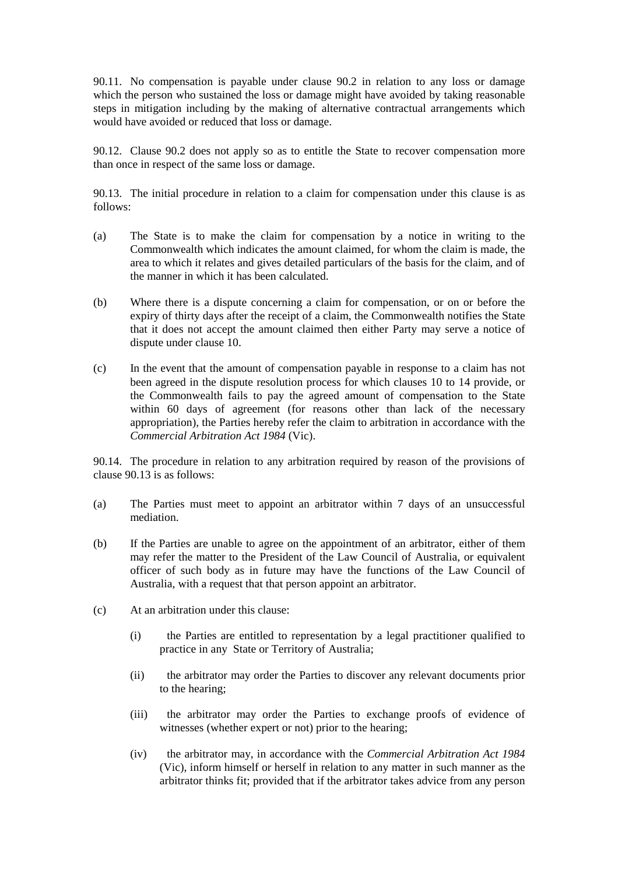90.11. No compensation is payable under clause 90.2 in relation to any loss or damage which the person who sustained the loss or damage might have avoided by taking reasonable steps in mitigation including by the making of alternative contractual arrangements which would have avoided or reduced that loss or damage.

90.12. Clause 90.2 does not apply so as to entitle the State to recover compensation more than once in respect of the same loss or damage.

90.13. The initial procedure in relation to a claim for compensation under this clause is as follows:

- (a) The State is to make the claim for compensation by a notice in writing to the Commonwealth which indicates the amount claimed, for whom the claim is made, the area to which it relates and gives detailed particulars of the basis for the claim, and of the manner in which it has been calculated.
- (b) Where there is a dispute concerning a claim for compensation, or on or before the expiry of thirty days after the receipt of a claim, the Commonwealth notifies the State that it does not accept the amount claimed then either Party may serve a notice of dispute under clause 10.
- (c) In the event that the amount of compensation payable in response to a claim has not been agreed in the dispute resolution process for which clauses 10 to 14 provide, or the Commonwealth fails to pay the agreed amount of compensation to the State within 60 days of agreement (for reasons other than lack of the necessary appropriation), the Parties hereby refer the claim to arbitration in accordance with the *Commercial Arbitration Act 1984* (Vic).

90.14. The procedure in relation to any arbitration required by reason of the provisions of clause 90.13 is as follows:

- (a) The Parties must meet to appoint an arbitrator within 7 days of an unsuccessful mediation.
- (b) If the Parties are unable to agree on the appointment of an arbitrator, either of them may refer the matter to the President of the Law Council of Australia, or equivalent officer of such body as in future may have the functions of the Law Council of Australia, with a request that that person appoint an arbitrator.
- (c) At an arbitration under this clause:
	- (i) the Parties are entitled to representation by a legal practitioner qualified to practice in any State or Territory of Australia;
	- (ii) the arbitrator may order the Parties to discover any relevant documents prior to the hearing;
	- (iii) the arbitrator may order the Parties to exchange proofs of evidence of witnesses (whether expert or not) prior to the hearing;
	- (iv) the arbitrator may, in accordance with the *Commercial Arbitration Act 1984* (Vic), inform himself or herself in relation to any matter in such manner as the arbitrator thinks fit; provided that if the arbitrator takes advice from any person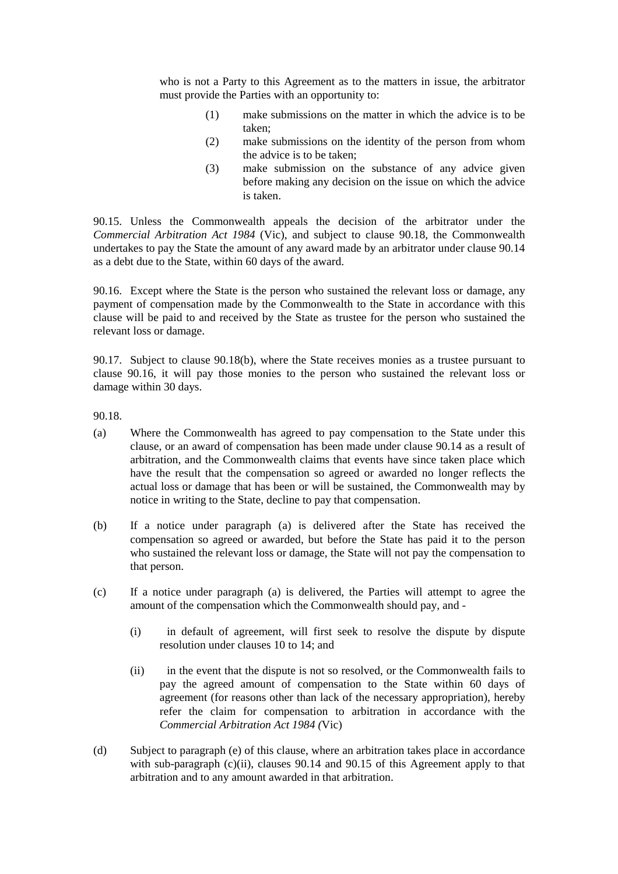who is not a Party to this Agreement as to the matters in issue, the arbitrator must provide the Parties with an opportunity to:

- (1) make submissions on the matter in which the advice is to be taken;
- (2) make submissions on the identity of the person from whom the advice is to be taken;
- (3) make submission on the substance of any advice given before making any decision on the issue on which the advice is taken.

90.15. Unless the Commonwealth appeals the decision of the arbitrator under the *Commercial Arbitration Act 1984* (Vic), and subject to clause 90.18, the Commonwealth undertakes to pay the State the amount of any award made by an arbitrator under clause 90.14 as a debt due to the State, within 60 days of the award.

90.16. Except where the State is the person who sustained the relevant loss or damage, any payment of compensation made by the Commonwealth to the State in accordance with this clause will be paid to and received by the State as trustee for the person who sustained the relevant loss or damage.

90.17. Subject to clause 90.18(b), where the State receives monies as a trustee pursuant to clause 90.16, it will pay those monies to the person who sustained the relevant loss or damage within 30 days.

90.18.

- (a) Where the Commonwealth has agreed to pay compensation to the State under this clause, or an award of compensation has been made under clause 90.14 as a result of arbitration, and the Commonwealth claims that events have since taken place which have the result that the compensation so agreed or awarded no longer reflects the actual loss or damage that has been or will be sustained, the Commonwealth may by notice in writing to the State, decline to pay that compensation.
- (b) If a notice under paragraph (a) is delivered after the State has received the compensation so agreed or awarded, but before the State has paid it to the person who sustained the relevant loss or damage, the State will not pay the compensation to that person.
- (c) If a notice under paragraph (a) is delivered, the Parties will attempt to agree the amount of the compensation which the Commonwealth should pay, and -
	- (i) in default of agreement, will first seek to resolve the dispute by dispute resolution under clauses 10 to 14; and
	- (ii) in the event that the dispute is not so resolved, or the Commonwealth fails to pay the agreed amount of compensation to the State within 60 days of agreement (for reasons other than lack of the necessary appropriation), hereby refer the claim for compensation to arbitration in accordance with the *Commercial Arbitration Act 1984 (*Vic)
- (d) Subject to paragraph (e) of this clause, where an arbitration takes place in accordance with sub-paragraph (c)(ii), clauses 90.14 and 90.15 of this Agreement apply to that arbitration and to any amount awarded in that arbitration.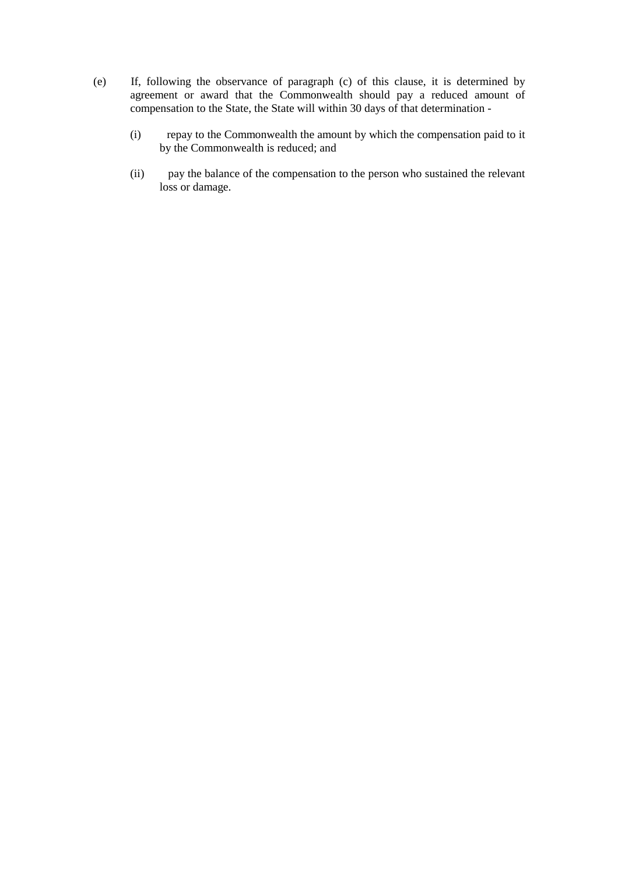- (e) If, following the observance of paragraph (c) of this clause, it is determined by agreement or award that the Commonwealth should pay a reduced amount of compensation to the State, the State will within 30 days of that determination -
	- (i) repay to the Commonwealth the amount by which the compensation paid to it by the Commonwealth is reduced; and
	- (ii) pay the balance of the compensation to the person who sustained the relevant loss or damage.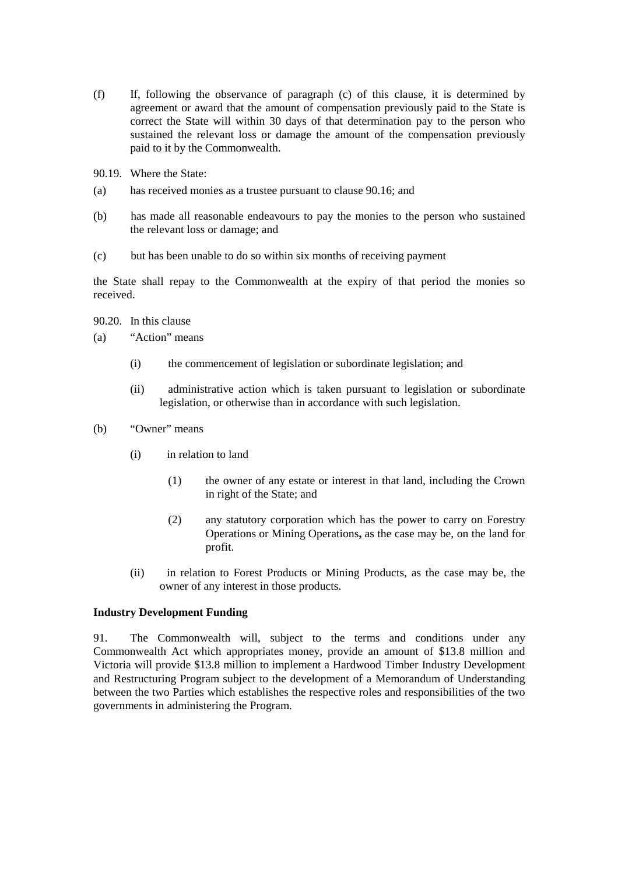- (f) If, following the observance of paragraph (c) of this clause, it is determined by agreement or award that the amount of compensation previously paid to the State is correct the State will within 30 days of that determination pay to the person who sustained the relevant loss or damage the amount of the compensation previously paid to it by the Commonwealth.
- 90.19. Where the State:
- (a) has received monies as a trustee pursuant to clause 90.16; and
- (b) has made all reasonable endeavours to pay the monies to the person who sustained the relevant loss or damage; and
- (c) but has been unable to do so within six months of receiving payment

the State shall repay to the Commonwealth at the expiry of that period the monies so received.

- 90.20. In this clause
- (a) "Action" means
	- (i) the commencement of legislation or subordinate legislation; and
	- (ii) administrative action which is taken pursuant to legislation or subordinate legislation, or otherwise than in accordance with such legislation.
- (b) "Owner" means
	- (i) in relation to land
		- (1) the owner of any estate or interest in that land, including the Crown in right of the State; and
		- (2) any statutory corporation which has the power to carry on Forestry Operations or Mining Operations**,** as the case may be, on the land for profit.
	- (ii) in relation to Forest Products or Mining Products, as the case may be, the owner of any interest in those products.

#### **Industry Development Funding**

91. The Commonwealth will, subject to the terms and conditions under any Commonwealth Act which appropriates money, provide an amount of \$13.8 million and Victoria will provide \$13.8 million to implement a Hardwood Timber Industry Development and Restructuring Program subject to the development of a Memorandum of Understanding between the two Parties which establishes the respective roles and responsibilities of the two governments in administering the Program.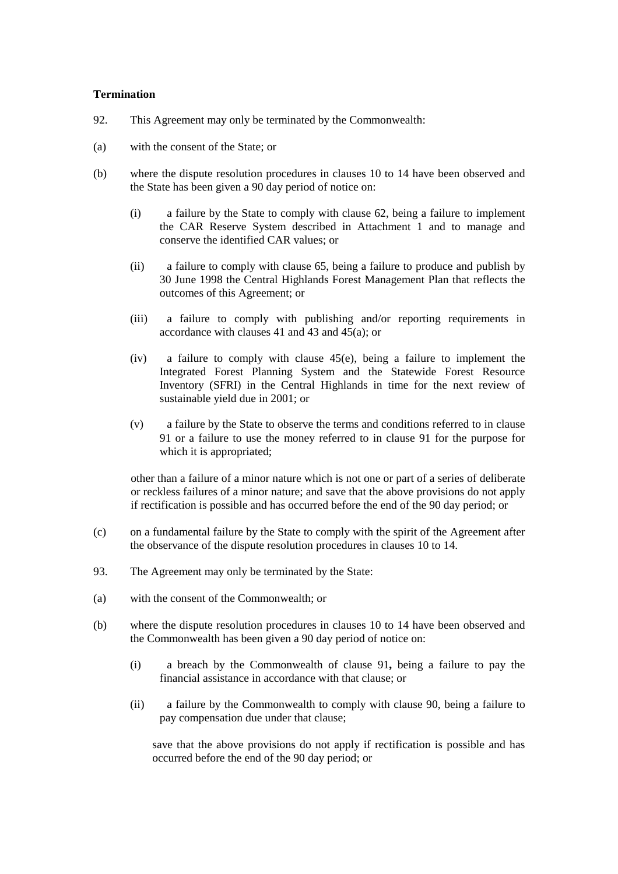### **Termination**

- 92. This Agreement may only be terminated by the Commonwealth:
- (a) with the consent of the State; or
- (b) where the dispute resolution procedures in clauses 10 to 14 have been observed and the State has been given a 90 day period of notice on:
	- (i) a failure by the State to comply with clause 62, being a failure to implement the CAR Reserve System described in Attachment 1 and to manage and conserve the identified CAR values; or
	- (ii) a failure to comply with clause 65, being a failure to produce and publish by 30 June 1998 the Central Highlands Forest Management Plan that reflects the outcomes of this Agreement; or
	- (iii) a failure to comply with publishing and/or reporting requirements in accordance with clauses 41 and 43 and 45(a); or
	- (iv) a failure to comply with clause 45(e), being a failure to implement the Integrated Forest Planning System and the Statewide Forest Resource Inventory (SFRI) in the Central Highlands in time for the next review of sustainable yield due in 2001; or
	- (v) a failure by the State to observe the terms and conditions referred to in clause 91 or a failure to use the money referred to in clause 91 for the purpose for which it is appropriated;

other than a failure of a minor nature which is not one or part of a series of deliberate or reckless failures of a minor nature; and save that the above provisions do not apply if rectification is possible and has occurred before the end of the 90 day period; or

- (c) on a fundamental failure by the State to comply with the spirit of the Agreement after the observance of the dispute resolution procedures in clauses 10 to 14.
- 93. The Agreement may only be terminated by the State:
- (a) with the consent of the Commonwealth; or
- (b) where the dispute resolution procedures in clauses 10 to 14 have been observed and the Commonwealth has been given a 90 day period of notice on:
	- (i) a breach by the Commonwealth of clause 91**,** being a failure to pay the financial assistance in accordance with that clause; or
	- (ii) a failure by the Commonwealth to comply with clause 90, being a failure to pay compensation due under that clause;

save that the above provisions do not apply if rectification is possible and has occurred before the end of the 90 day period; or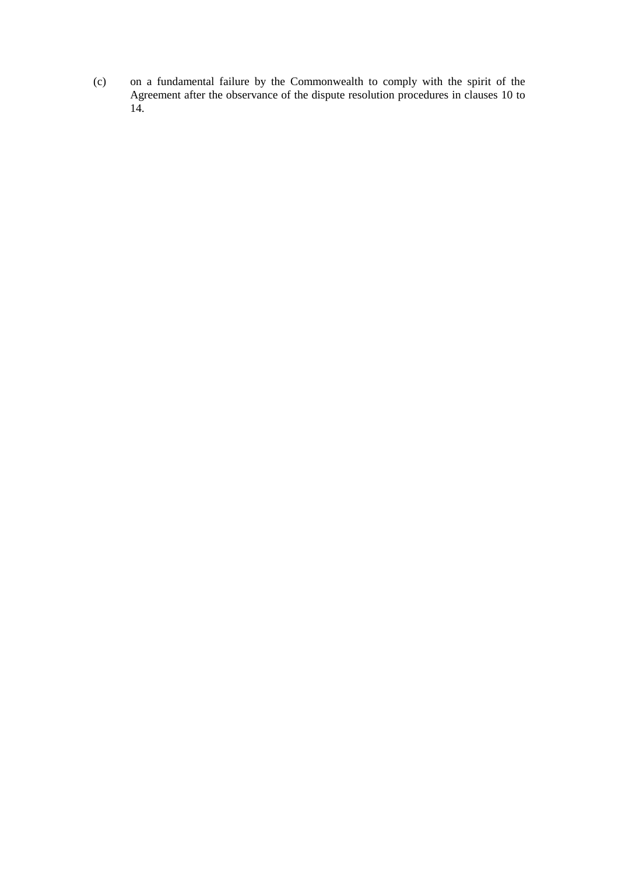(c) on a fundamental failure by the Commonwealth to comply with the spirit of the Agreement after the observance of the dispute resolution procedures in clauses 10 to 14.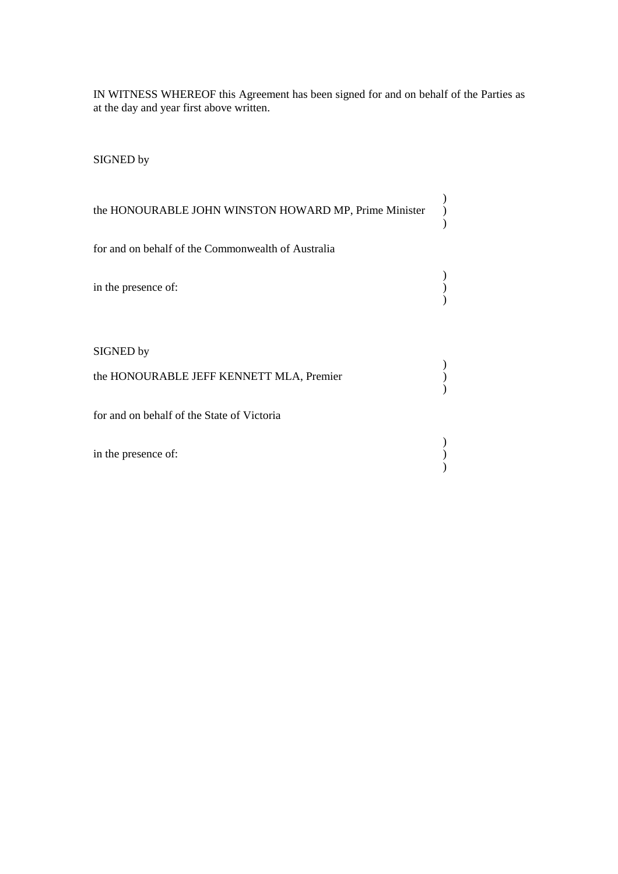IN WITNESS WHEREOF this Agreement has been signed for and on behalf of the Parties as at the day and year first above written.

SIGNED by

| the HONOURABLE JOHN WINSTON HOWARD MP, Prime Minister                                               |  |
|-----------------------------------------------------------------------------------------------------|--|
| for and on behalf of the Commonwealth of Australia                                                  |  |
| in the presence of:                                                                                 |  |
| SIGNED by<br>the HONOURABLE JEFF KENNETT MLA, Premier<br>for and on behalf of the State of Victoria |  |
| in the presence of:                                                                                 |  |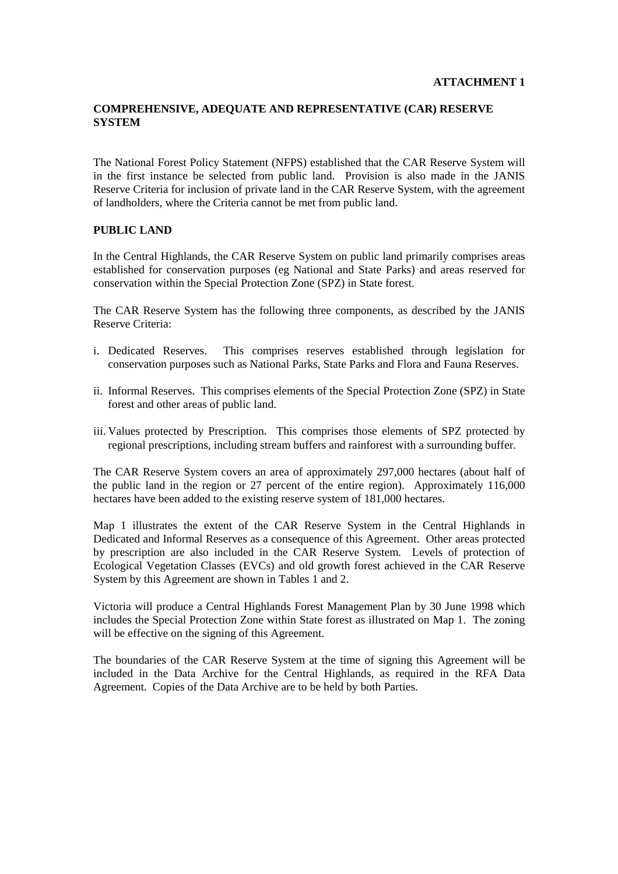# **COMPREHENSIVE, ADEQUATE AND REPRESENTATIVE (CAR) RESERVE SYSTEM**

The National Forest Policy Statement (NFPS) established that the CAR Reserve System will in the first instance be selected from public land. Provision is also made in the JANIS Reserve Criteria for inclusion of private land in the CAR Reserve System, with the agreement of landholders, where the Criteria cannot be met from public land.

### **PUBLIC LAND**

In the Central Highlands, the CAR Reserve System on public land primarily comprises areas established for conservation purposes (eg National and State Parks) and areas reserved for conservation within the Special Protection Zone (SPZ) in State forest.

The CAR Reserve System has the following three components, as described by the JANIS Reserve Criteria:

- i. Dedicated Reserves. This comprises reserves established through legislation for conservation purposes such as National Parks, State Parks and Flora and Fauna Reserves.
- ii. Informal Reserves. This comprises elements of the Special Protection Zone (SPZ) in State forest and other areas of public land.
- iii. Values protected by Prescription. This comprises those elements of SPZ protected by regional prescriptions, including stream buffers and rainforest with a surrounding buffer.

The CAR Reserve System covers an area of approximately 297,000 hectares (about half of the public land in the region or 27 percent of the entire region). Approximately 116,000 hectares have been added to the existing reserve system of 181,000 hectares.

Map 1 illustrates the extent of the CAR Reserve System in the Central Highlands in Dedicated and Informal Reserves as a consequence of this Agreement. Other areas protected by prescription are also included in the CAR Reserve System. Levels of protection of Ecological Vegetation Classes (EVCs) and old growth forest achieved in the CAR Reserve System by this Agreement are shown in Tables 1 and 2.

Victoria will produce a Central Highlands Forest Management Plan by 30 June 1998 which includes the Special Protection Zone within State forest as illustrated on Map 1. The zoning will be effective on the signing of this Agreement.

The boundaries of the CAR Reserve System at the time of signing this Agreement will be included in the Data Archive for the Central Highlands, as required in the RFA Data Agreement. Copies of the Data Archive are to be held by both Parties.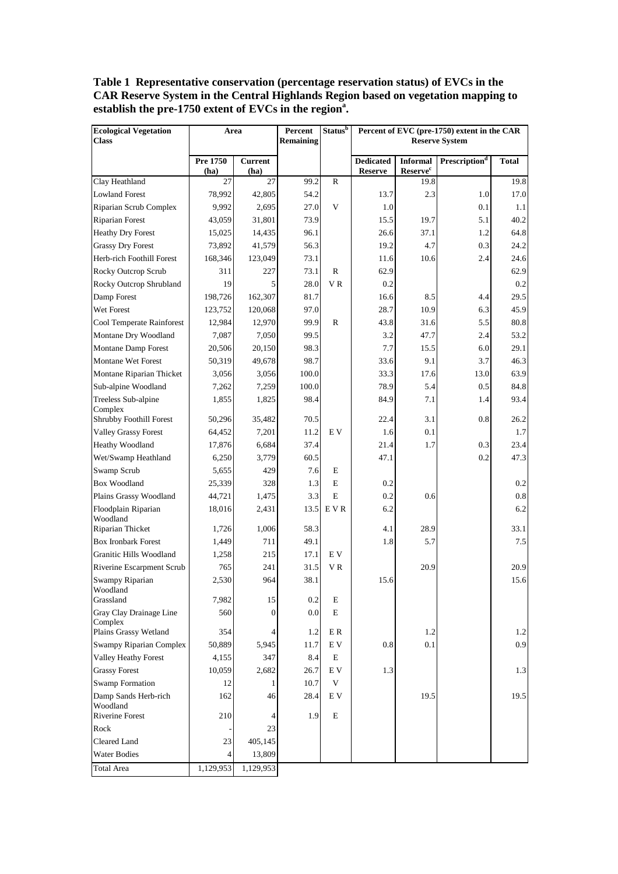**Table 1 Representative conservation (percentage reservation status) of EVCs in the CAR Reserve System in the Central Highlands Region based on vegetation mapping to establish the pre-1750 extent of EVCs in the region<sup>a</sup> .**

| <b>Ecological Vegetation</b>       | Area             |                        | Percent   | <b>Status</b> <sup>b</sup> | Percent of EVC (pre-1750) extent in the CAR |                                       |                           |              |
|------------------------------------|------------------|------------------------|-----------|----------------------------|---------------------------------------------|---------------------------------------|---------------------------|--------------|
| <b>Class</b>                       |                  |                        | Remaining |                            |                                             |                                       | <b>Reserve System</b>     |              |
|                                    | Pre 1750<br>(ha) | <b>Current</b><br>(ha) |           |                            | <b>Dedicated</b><br><b>Reserve</b>          | <b>Informal</b><br>$\mbox{Reserve}^c$ | Prescription <sup>d</sup> | <b>Total</b> |
| Clay Heathland                     | 27               | 27                     | 99.2      | $\mathbb{R}$               |                                             | 19.8                                  |                           | 19.8         |
| <b>Lowland Forest</b>              | 78,992           | 42,805                 | 54.2      |                            | 13.7                                        | 2.3                                   | 1.0                       | 17.0         |
| Riparian Scrub Complex             | 9,992            | 2,695                  | 27.0      | V                          | 1.0                                         |                                       | 0.1                       | 1.1          |
| <b>Riparian Forest</b>             | 43,059           | 31,801                 | 73.9      |                            | 15.5                                        | 19.7                                  | 5.1                       | 40.2         |
| <b>Heathy Dry Forest</b>           | 15,025           | 14,435                 | 96.1      |                            | 26.6                                        | 37.1                                  | 1.2                       | 64.8         |
| <b>Grassy Dry Forest</b>           | 73,892           | 41,579                 | 56.3      |                            | 19.2                                        | 4.7                                   | 0.3                       | 24.2         |
| Herb-rich Foothill Forest          | 168,346          | 123,049                | 73.1      |                            | 11.6                                        | 10.6                                  | 2.4                       | 24.6         |
| Rocky Outcrop Scrub                | 311              | 227                    | 73.1      | $\mathbb{R}$               | 62.9                                        |                                       |                           | 62.9         |
| Rocky Outcrop Shrubland            | 19               | 5                      | 28.0      | V R                        | 0.2                                         |                                       |                           | 0.2          |
| Damp Forest                        | 198,726          | 162,307                | 81.7      |                            | 16.6                                        | 8.5                                   | 4.4                       | 29.5         |
| Wet Forest                         | 123,752          | 120,068                | 97.0      |                            | 28.7                                        | 10.9                                  | 6.3                       | 45.9         |
| Cool Temperate Rainforest          | 12,984           | 12,970                 | 99.9      | $\mathbb{R}$               | 43.8                                        | 31.6                                  | 5.5                       | 80.8         |
| Montane Dry Woodland               | 7,087            | 7,050                  | 99.5      |                            | 3.2                                         | 47.7                                  | 2.4                       | 53.2         |
| Montane Damp Forest                | 20,506           | 20,150                 | 98.3      |                            | 7.7                                         | 15.5                                  | 6.0                       | 29.1         |
| <b>Montane Wet Forest</b>          | 50,319           | 49,678                 | 98.7      |                            | 33.6                                        | 9.1                                   | 3.7                       | 46.3         |
| Montane Riparian Thicket           | 3,056            | 3,056                  | 100.0     |                            | 33.3                                        | 17.6                                  | 13.0                      | 63.9         |
| Sub-alpine Woodland                | 7,262            | 7,259                  | 100.0     |                            | 78.9                                        | 5.4                                   | 0.5                       | 84.8         |
| Treeless Sub-alpine<br>Complex     | 1,855            | 1,825                  | 98.4      |                            | 84.9                                        | 7.1                                   | 1.4                       | 93.4         |
| Shrubby Foothill Forest            | 50,296           | 35,482                 | 70.5      |                            | 22.4                                        | 3.1                                   | 0.8                       | 26.2         |
| <b>Valley Grassy Forest</b>        | 64,452           | 7,201                  | 11.2      | E V                        | 1.6                                         | 0.1                                   |                           | 1.7          |
| Heathy Woodland                    | 17,876           | 6,684                  | 37.4      |                            | 21.4                                        | 1.7                                   | 0.3                       | 23.4         |
| Wet/Swamp Heathland                | 6,250            | 3,779                  | 60.5      |                            | 47.1                                        |                                       | 0.2                       | 47.3         |
| Swamp Scrub                        | 5,655            | 429                    | 7.6       | E                          |                                             |                                       |                           |              |
| Box Woodland                       | 25,339           | 328                    | 1.3       | E                          | 0.2                                         |                                       |                           | 0.2          |
| Plains Grassy Woodland             | 44,721           | 1,475                  | 3.3       | E                          | 0.2                                         | 0.6                                   |                           | 0.8          |
| Floodplain Riparian<br>Woodland    | 18,016           | 2,431                  | 13.5      | E V R                      | 6.2                                         |                                       |                           | 6.2          |
| Riparian Thicket                   | 1,726            | 1,006                  | 58.3      |                            | 4.1                                         | 28.9                                  |                           | 33.1         |
| <b>Box Ironbark Forest</b>         | 1,449            | 711                    | 49.1      |                            | 1.8                                         | 5.7                                   |                           | 7.5          |
| Granitic Hills Woodland            | 1,258            | 215                    | 17.1      | E V                        |                                             |                                       |                           |              |
| Riverine Escarpment Scrub          | 765              | 241                    | 31.5      | V R                        |                                             | 20.9                                  |                           | 20.9         |
| Swampy Riparian<br>Woodland        | 2,530            | 964                    | 38.1      |                            | 15.6                                        |                                       |                           | 15.6         |
| Grassland                          | 7,982            | 15                     | 0.2       | E                          |                                             |                                       |                           |              |
| Gray Clay Drainage Line<br>Complex | 560              | $\overline{0}$         | 0.0       | E                          |                                             |                                       |                           |              |
| Plains Grassy Wetland              | 354              | 4                      | 1.2       | E R                        |                                             | 1.2                                   |                           | 1.2          |
| Swampy Riparian Complex            | 50,889           | 5,945                  | 11.7      | $\mathbf{E}\ \mathbf{V}$   | 0.8                                         | 0.1                                   |                           | 0.9          |
| Valley Heathy Forest               | 4,155            | 347                    | 8.4       | $\mathbf E$                |                                             |                                       |                           |              |
| <b>Grassy Forest</b>               | 10,059           | 2,682                  | 26.7      | E V                        | 1.3                                         |                                       |                           | 1.3          |
| <b>Swamp Formation</b>             | 12               | 1                      | 10.7      | V                          |                                             |                                       |                           |              |
| Damp Sands Herb-rich<br>Woodland   | 162              | 46                     | 28.4      | E V                        |                                             | 19.5                                  |                           | 19.5         |
| Riverine Forest                    | 210              | 4                      | 1.9       | E                          |                                             |                                       |                           |              |
| Rock                               |                  | 23                     |           |                            |                                             |                                       |                           |              |
| Cleared Land                       | 23               | 405,145                |           |                            |                                             |                                       |                           |              |
| <b>Water Bodies</b>                | 4                | 13,809                 |           |                            |                                             |                                       |                           |              |
| <b>Total Area</b>                  | 1,129,953        | 1,129,953              |           |                            |                                             |                                       |                           |              |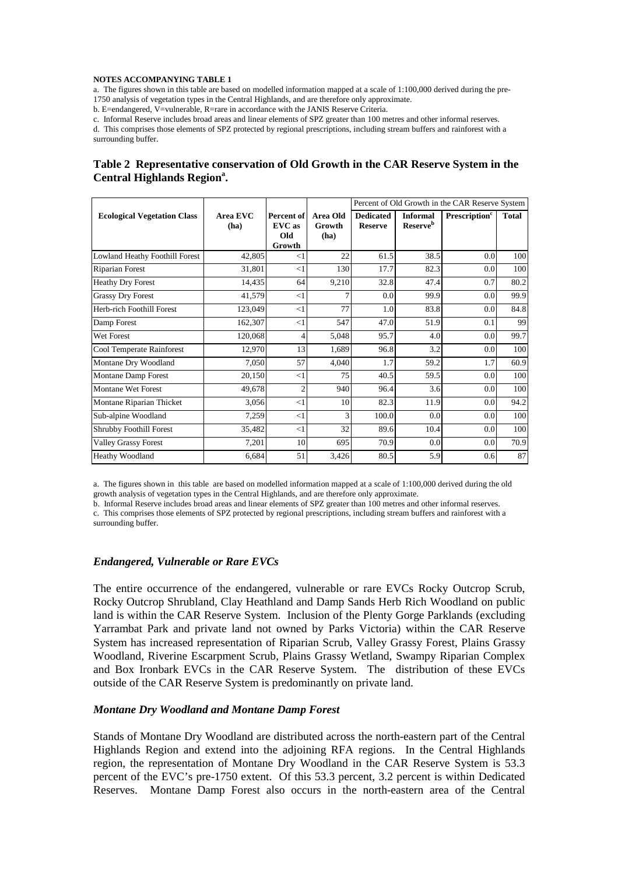#### **NOTES ACCOMPANYING TABLE 1**

a. The figures shown in this table are based on modelled information mapped at a scale of 1:100,000 derived during the pre-1750 analysis of vegetation types in the Central Highlands, and are therefore only approximate.

b. E=endangered, V=vulnerable, R=rare in accordance with the JANIS Reserve Criteria.

c. Informal Reserve includes broad areas and linear elements of SPZ greater than 100 metres and other informal reserves.

d. This comprises those elements of SPZ protected by regional prescriptions, including stream buffers and rainforest with a surrounding buffer.

### **Table 2 Representative conservation of Old Growth in the CAR Reserve System in the Central Highlands Region<sup>a</sup>.**

|                                       |                  |                                       |                            | Percent of Old Growth in the CAR Reserve System |                                                |                           |       |
|---------------------------------------|------------------|---------------------------------------|----------------------------|-------------------------------------------------|------------------------------------------------|---------------------------|-------|
| <b>Ecological Vegetation Class</b>    | Area EVC<br>(ha) | Percent of<br>EVC as<br>Old<br>Growth | Area Old<br>Growth<br>(ha) | <b>Dedicated</b><br><b>Reserve</b>              | <b>Informal</b><br><b>Reserve</b> <sup>b</sup> | Prescription <sup>c</sup> | Total |
| <b>Lowland Heathy Foothill Forest</b> | 42,805           | $<$ 1                                 | 22                         | 61.5                                            | 38.5                                           | 0.0                       | 100   |
| Riparian Forest                       | 31,801           | $<$ 1                                 | 130                        | 17.7                                            | 82.3                                           | 0.0                       | 100   |
| <b>Heathy Dry Forest</b>              | 14,435           | 64                                    | 9,210                      | 32.8                                            | 47.4                                           | 0.7                       | 80.2  |
| <b>Grassy Dry Forest</b>              | 41,579           | $\leq$ 1                              |                            | 0.0                                             | 99.9                                           | 0.0                       | 99.9  |
| Herb-rich Foothill Forest             | 123,049          | $\leq$ 1                              | 77                         | 1.0                                             | 83.8                                           | 0.0                       | 84.8  |
| Damp Forest                           | 162,307          | <1                                    | 547                        | 47.0                                            | 51.9                                           | 0.1                       | 99    |
| Wet Forest                            | 120,068          | 4                                     | 5,048                      | 95.7                                            | 4.0                                            | 0.0                       | 99.7  |
| Cool Temperate Rainforest             | 12,970           | 13                                    | 1,689                      | 96.8                                            | 3.2                                            | 0.0                       | 100   |
| Montane Dry Woodland                  | 7,050            | 57                                    | 4,040                      | 1.7                                             | 59.2                                           | 1.7                       | 60.9  |
| Montane Damp Forest                   | 20,150           | $<$ 1                                 | 75                         | 40.5                                            | 59.5                                           | 0.0                       | 100   |
| <b>Montane Wet Forest</b>             | 49,678           | $\overline{c}$                        | 940                        | 96.4                                            | 3.6                                            | 0.0                       | 100   |
| Montane Riparian Thicket              | 3,056            | <1                                    | 10                         | 82.3                                            | 11.9                                           | 0.0                       | 94.2  |
| Sub-alpine Woodland                   | 7,259            | <1                                    | 3                          | 100.0                                           | 0.0                                            | 0.0                       | 100   |
| Shrubby Foothill Forest               | 35,482           | $\leq$ 1                              | 32                         | 89.6                                            | 10.4                                           | 0.0                       | 100   |
| <b>Valley Grassy Forest</b>           | 7,201            | 10                                    | 695                        | 70.9                                            | 0.0                                            | 0.0                       | 70.9  |
| <b>Heathy Woodland</b>                | 6,684            | 51                                    | 3,426                      | 80.5                                            | 5.9                                            | 0.6                       | 87    |

a. The figures shown in this table are based on modelled information mapped at a scale of 1:100,000 derived during the old growth analysis of vegetation types in the Central Highlands, and are therefore only approximate.

b. Informal Reserve includes broad areas and linear elements of SPZ greater than 100 metres and other informal reserves.

c. This comprises those elements of SPZ protected by regional prescriptions, including stream buffers and rainforest with a surrounding buffer.

### *Endangered, Vulnerable or Rare EVCs*

The entire occurrence of the endangered, vulnerable or rare EVCs Rocky Outcrop Scrub, Rocky Outcrop Shrubland, Clay Heathland and Damp Sands Herb Rich Woodland on public land is within the CAR Reserve System. Inclusion of the Plenty Gorge Parklands (excluding Yarrambat Park and private land not owned by Parks Victoria) within the CAR Reserve System has increased representation of Riparian Scrub, Valley Grassy Forest, Plains Grassy Woodland, Riverine Escarpment Scrub, Plains Grassy Wetland, Swampy Riparian Complex and Box Ironbark EVCs in the CAR Reserve System. The distribution of these EVCs outside of the CAR Reserve System is predominantly on private land.

#### *Montane Dry Woodland and Montane Damp Forest*

Stands of Montane Dry Woodland are distributed across the north-eastern part of the Central Highlands Region and extend into the adjoining RFA regions. In the Central Highlands region, the representation of Montane Dry Woodland in the CAR Reserve System is 53.3 percent of the EVC's pre-1750 extent. Of this 53.3 percent, 3.2 percent is within Dedicated Reserves. Montane Damp Forest also occurs in the north-eastern area of the Central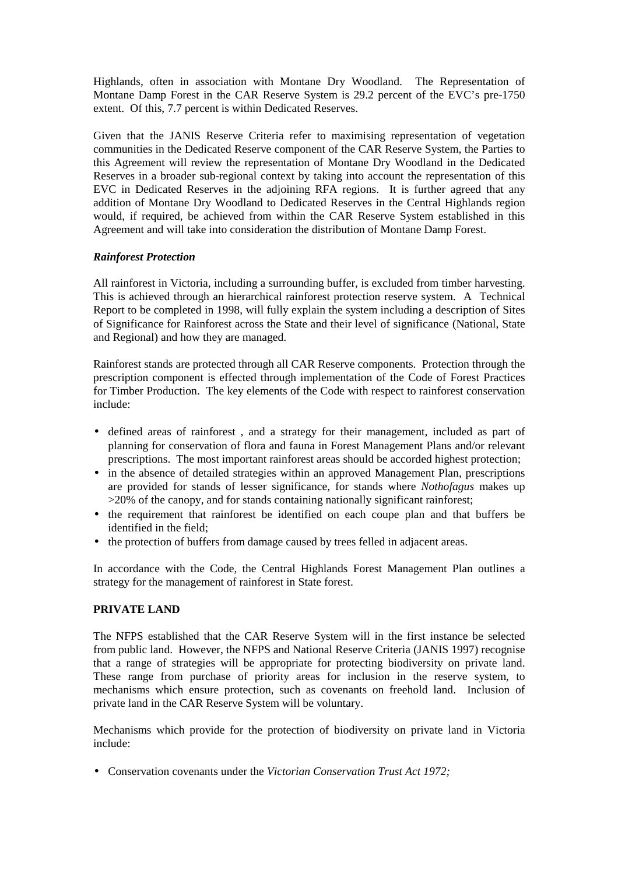Highlands, often in association with Montane Dry Woodland. The Representation of Montane Damp Forest in the CAR Reserve System is 29.2 percent of the EVC's pre-1750 extent. Of this, 7.7 percent is within Dedicated Reserves.

Given that the JANIS Reserve Criteria refer to maximising representation of vegetation communities in the Dedicated Reserve component of the CAR Reserve System, the Parties to this Agreement will review the representation of Montane Dry Woodland in the Dedicated Reserves in a broader sub-regional context by taking into account the representation of this EVC in Dedicated Reserves in the adjoining RFA regions. It is further agreed that any addition of Montane Dry Woodland to Dedicated Reserves in the Central Highlands region would, if required, be achieved from within the CAR Reserve System established in this Agreement and will take into consideration the distribution of Montane Damp Forest.

# *Rainforest Protection*

All rainforest in Victoria, including a surrounding buffer, is excluded from timber harvesting. This is achieved through an hierarchical rainforest protection reserve system. A Technical Report to be completed in 1998, will fully explain the system including a description of Sites of Significance for Rainforest across the State and their level of significance (National, State and Regional) and how they are managed.

Rainforest stands are protected through all CAR Reserve components. Protection through the prescription component is effected through implementation of the Code of Forest Practices for Timber Production. The key elements of the Code with respect to rainforest conservation include:

- defined areas of rainforest , and a strategy for their management, included as part of planning for conservation of flora and fauna in Forest Management Plans and/or relevant prescriptions. The most important rainforest areas should be accorded highest protection;
- in the absence of detailed strategies within an approved Management Plan, prescriptions are provided for stands of lesser significance, for stands where *Nothofagus* makes up >20% of the canopy, and for stands containing nationally significant rainforest;
- the requirement that rainforest be identified on each coupe plan and that buffers be identified in the field;
- the protection of buffers from damage caused by trees felled in adjacent areas.

In accordance with the Code, the Central Highlands Forest Management Plan outlines a strategy for the management of rainforest in State forest.

### **PRIVATE LAND**

The NFPS established that the CAR Reserve System will in the first instance be selected from public land. However, the NFPS and National Reserve Criteria (JANIS 1997) recognise that a range of strategies will be appropriate for protecting biodiversity on private land. These range from purchase of priority areas for inclusion in the reserve system, to mechanisms which ensure protection, such as covenants on freehold land. Inclusion of private land in the CAR Reserve System will be voluntary.

Mechanisms which provide for the protection of biodiversity on private land in Victoria include:

• Conservation covenants under the *Victorian Conservation Trust Act 1972;*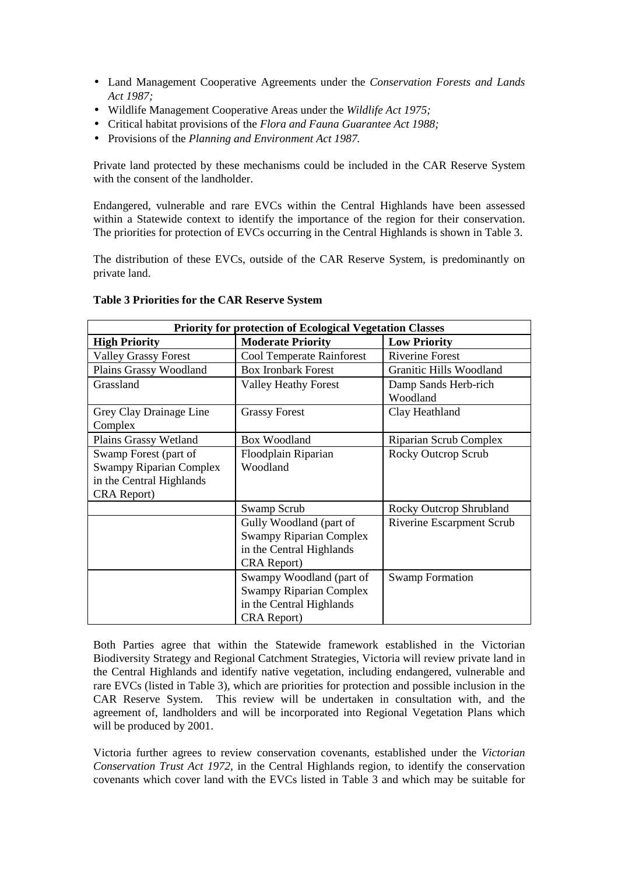- Land Management Cooperative Agreements under the *Conservation Forests and Lands Act 1987;*
- Wildlife Management Cooperative Areas under the *Wildlife Act 1975;*
- Critical habitat provisions of the *Flora and Fauna Guarantee Act 1988;*
- Provisions of the *Planning and Environment Act 1987.*

Private land protected by these mechanisms could be included in the CAR Reserve System with the consent of the landholder.

Endangered, vulnerable and rare EVCs within the Central Highlands have been assessed within a Statewide context to identify the importance of the region for their conservation. The priorities for protection of EVCs occurring in the Central Highlands is shown in Table 3.

The distribution of these EVCs, outside of the CAR Reserve System, is predominantly on private land.

| <b>Priority for protection of Ecological Vegetation Classes</b> |                                  |                           |  |  |  |  |
|-----------------------------------------------------------------|----------------------------------|---------------------------|--|--|--|--|
| <b>High Priority</b>                                            | <b>Moderate Priority</b>         | <b>Low Priority</b>       |  |  |  |  |
| <b>Valley Grassy Forest</b>                                     | <b>Cool Temperate Rainforest</b> | <b>Riverine Forest</b>    |  |  |  |  |
| Plains Grassy Woodland                                          | <b>Box Ironbark Forest</b>       | Granitic Hills Woodland   |  |  |  |  |
| Grassland                                                       | <b>Valley Heathy Forest</b>      | Damp Sands Herb-rich      |  |  |  |  |
|                                                                 |                                  | Woodland                  |  |  |  |  |
| Grey Clay Drainage Line                                         | <b>Grassy Forest</b>             | Clay Heathland            |  |  |  |  |
| Complex                                                         |                                  |                           |  |  |  |  |
| Plains Grassy Wetland                                           | <b>Box Woodland</b>              | Riparian Scrub Complex    |  |  |  |  |
| Swamp Forest (part of                                           | Floodplain Riparian              | Rocky Outcrop Scrub       |  |  |  |  |
| <b>Swampy Riparian Complex</b>                                  | Woodland                         |                           |  |  |  |  |
| in the Central Highlands                                        |                                  |                           |  |  |  |  |
| CRA Report)                                                     |                                  |                           |  |  |  |  |
|                                                                 | Swamp Scrub                      | Rocky Outcrop Shrubland   |  |  |  |  |
|                                                                 | Gully Woodland (part of          | Riverine Escarpment Scrub |  |  |  |  |
|                                                                 | <b>Swampy Riparian Complex</b>   |                           |  |  |  |  |
|                                                                 | in the Central Highlands         |                           |  |  |  |  |
|                                                                 | CRA Report)                      |                           |  |  |  |  |
|                                                                 | Swampy Woodland (part of         | <b>Swamp Formation</b>    |  |  |  |  |
|                                                                 | <b>Swampy Riparian Complex</b>   |                           |  |  |  |  |
|                                                                 | in the Central Highlands         |                           |  |  |  |  |
|                                                                 | CRA Report)                      |                           |  |  |  |  |

### **Table 3 Priorities for the CAR Reserve System**

Both Parties agree that within the Statewide framework established in the Victorian Biodiversity Strategy and Regional Catchment Strategies, Victoria will review private land in the Central Highlands and identify native vegetation, including endangered, vulnerable and rare EVCs (listed in Table 3), which are priorities for protection and possible inclusion in the CAR Reserve System. This review will be undertaken in consultation with, and the agreement of, landholders and will be incorporated into Regional Vegetation Plans which will be produced by 2001.

Victoria further agrees to review conservation covenants, established under the *Victorian Conservation Trust Act 1972*, in the Central Highlands region, to identify the conservation covenants which cover land with the EVCs listed in Table 3 and which may be suitable for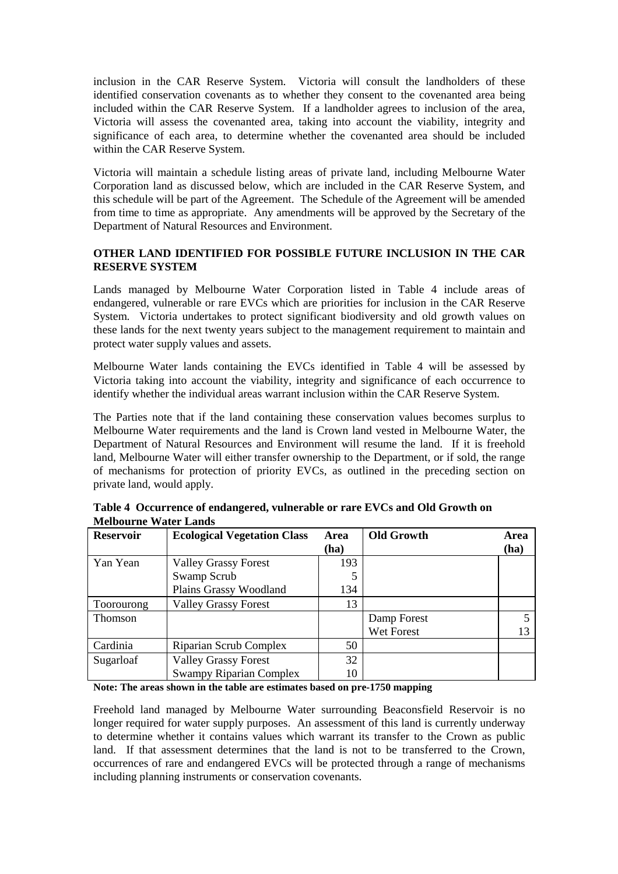inclusion in the CAR Reserve System. Victoria will consult the landholders of these identified conservation covenants as to whether they consent to the covenanted area being included within the CAR Reserve System. If a landholder agrees to inclusion of the area, Victoria will assess the covenanted area, taking into account the viability, integrity and significance of each area, to determine whether the covenanted area should be included within the CAR Reserve System.

Victoria will maintain a schedule listing areas of private land, including Melbourne Water Corporation land as discussed below, which are included in the CAR Reserve System, and this schedule will be part of the Agreement. The Schedule of the Agreement will be amended from time to time as appropriate. Any amendments will be approved by the Secretary of the Department of Natural Resources and Environment.

# **OTHER LAND IDENTIFIED FOR POSSIBLE FUTURE INCLUSION IN THE CAR RESERVE SYSTEM**

Lands managed by Melbourne Water Corporation listed in Table 4 include areas of endangered, vulnerable or rare EVCs which are priorities for inclusion in the CAR Reserve System. Victoria undertakes to protect significant biodiversity and old growth values on these lands for the next twenty years subject to the management requirement to maintain and protect water supply values and assets.

Melbourne Water lands containing the EVCs identified in Table 4 will be assessed by Victoria taking into account the viability, integrity and significance of each occurrence to identify whether the individual areas warrant inclusion within the CAR Reserve System.

The Parties note that if the land containing these conservation values becomes surplus to Melbourne Water requirements and the land is Crown land vested in Melbourne Water, the Department of Natural Resources and Environment will resume the land. If it is freehold land, Melbourne Water will either transfer ownership to the Department, or if sold, the range of mechanisms for protection of priority EVCs, as outlined in the preceding section on private land, would apply.

| <b>Reservoir</b> | <b>Ecological Vegetation Class</b> | Area | <b>Old Growth</b> | <b>Area</b> |
|------------------|------------------------------------|------|-------------------|-------------|
|                  |                                    | (ha) |                   | (ha)        |
| Yan Yean         | <b>Valley Grassy Forest</b>        | 193  |                   |             |
|                  | Swamp Scrub                        | 5    |                   |             |
|                  | Plains Grassy Woodland             | 134  |                   |             |
| Toorourong       | <b>Valley Grassy Forest</b>        | 13   |                   |             |
| <b>Thomson</b>   |                                    |      | Damp Forest       |             |
|                  |                                    |      | Wet Forest        | 13          |
| Cardinia         | Riparian Scrub Complex             | 50   |                   |             |
| Sugarloaf        | <b>Valley Grassy Forest</b>        | 32   |                   |             |
|                  | <b>Swampy Riparian Complex</b>     | 10   |                   |             |

| Table 4 Occurrence of endangered, vulnerable or rare EVCs and Old Growth on |  |  |
|-----------------------------------------------------------------------------|--|--|
| <b>Melbourne Water Lands</b>                                                |  |  |

#### **Note: The areas shown in the table are estimates based on pre-1750 mapping**

Freehold land managed by Melbourne Water surrounding Beaconsfield Reservoir is no longer required for water supply purposes. An assessment of this land is currently underway to determine whether it contains values which warrant its transfer to the Crown as public land. If that assessment determines that the land is not to be transferred to the Crown, occurrences of rare and endangered EVCs will be protected through a range of mechanisms including planning instruments or conservation covenants.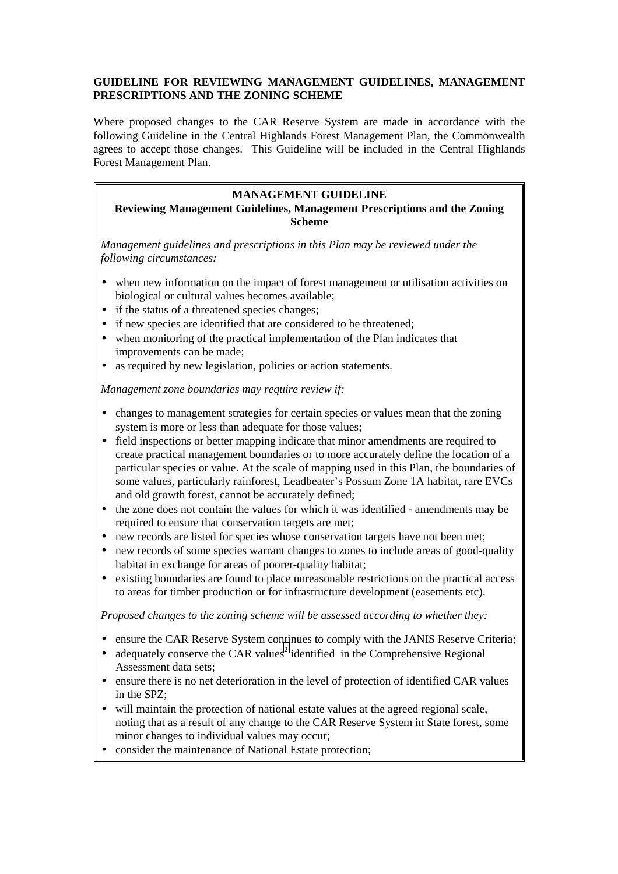# **GUIDELINE FOR REVIEWING MANAGEMENT GUIDELINES, MANAGEMENT PRESCRIPTIONS AND THE ZONING SCHEME**

Where proposed changes to the CAR Reserve System are made in accordance with the following Guideline in the Central Highlands Forest Management Plan, the Commonwealth agrees to accept those changes. This Guideline will be included in the Central Highlands Forest Management Plan.

### **MANAGEMENT GUIDELINE**

# **Reviewing Management Guidelines, Management Prescriptions and the Zoning Scheme**

*Management guidelines and prescriptions in this Plan may be reviewed under the following circumstances:*

- when new information on the impact of forest management or utilisation activities on biological or cultural values becomes available;
- if the status of a threatened species changes;
- if new species are identified that are considered to be threatened:
- when monitoring of the practical implementation of the Plan indicates that improvements can be made;
- as required by new legislation, policies or action statements.

*Management zone boundaries may require review if:*

- changes to management strategies for certain species or values mean that the zoning system is more or less than adequate for those values;
- field inspections or better mapping indicate that minor amendments are required to create practical management boundaries or to more accurately define the location of a particular species or value. At the scale of mapping used in this Plan, the boundaries of some values, particularly rainforest, Leadbeater's Possum Zone 1A habitat, rare EVCs and old growth forest, cannot be accurately defined;
- the zone does not contain the values for which it was identified amendments may be required to ensure that conservation targets are met;
- new records are listed for species whose conservation targets have not been met;
- new records of some species warrant changes to zones to include areas of good-quality habitat in exchange for areas of poorer-quality habitat;
- existing boundaries are found to place unreasonable restrictions on the practical access to areas for timber production or for infrastructure development (easements etc).

*Proposed changes to the zoning scheme will be assessed according to whether they:*

- ensure the CAR Reserve System continues to comply with the JANIS Reserve Criteria;
- adequately conserve the CAR values<sup>2</sup> identified in the Comprehensive Regional Assessment data sets;
- ensure there is no net deterioration in the level of protection of identified CAR values in the SPZ;
- will maintain the protection of national estate values at the agreed regional scale, noting that as a result of any change to the CAR Reserve System in State forest, some minor changes to individual values may occur;
- consider the maintenance of National Estate protection: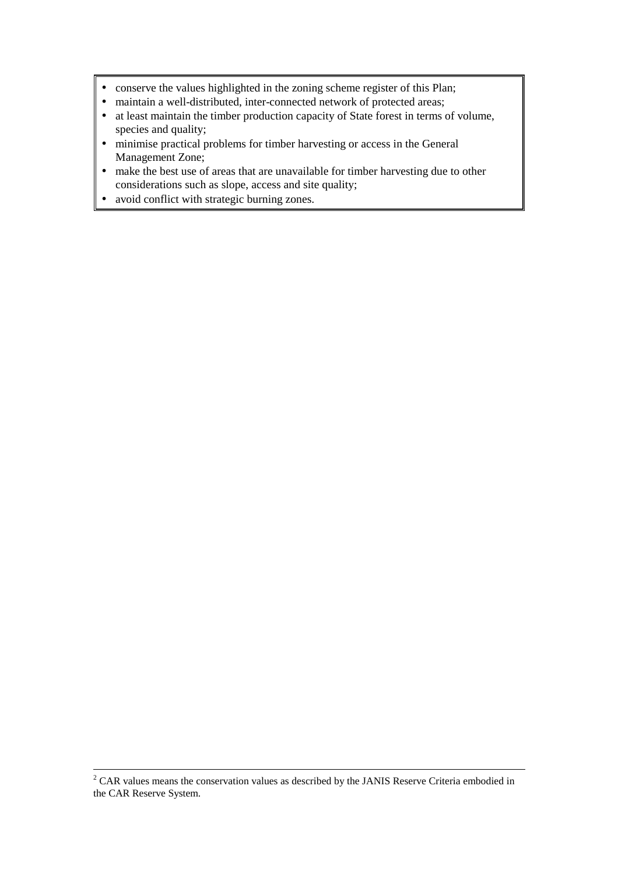- conserve the values highlighted in the zoning scheme register of this Plan;
- maintain a well-distributed, inter-connected network of protected areas;
- at least maintain the timber production capacity of State forest in terms of volume, species and quality;
- minimise practical problems for timber harvesting or access in the General Management Zone;
- make the best use of areas that are unavailable for timber harvesting due to other considerations such as slope, access and site quality;
- avoid conflict with strategic burning zones.

 $\frac{1}{2}$  $2^{\circ}$  CAR values means the conservation values as described by the JANIS Reserve Criteria embodied in the CAR Reserve System.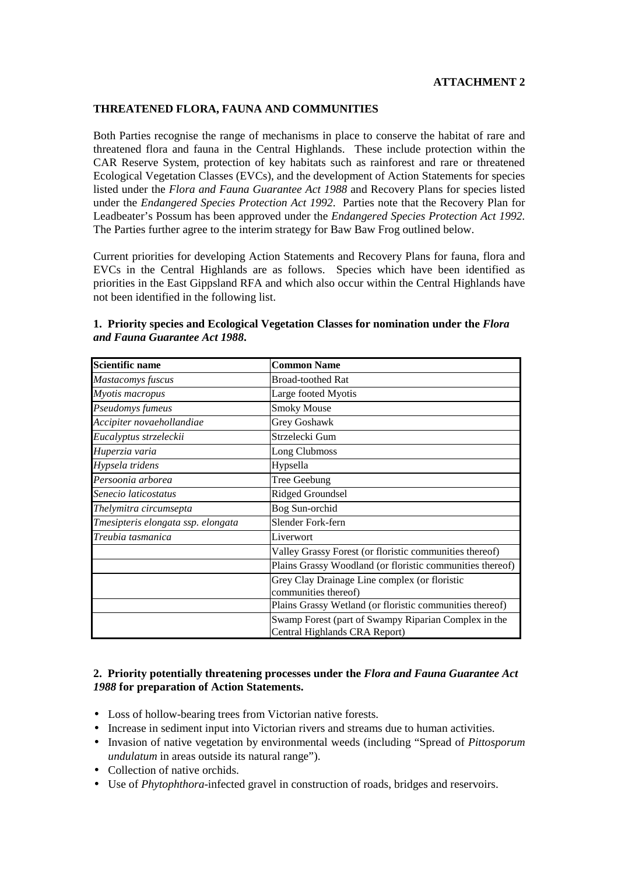#### **THREATENED FLORA, FAUNA AND COMMUNITIES**

Both Parties recognise the range of mechanisms in place to conserve the habitat of rare and threatened flora and fauna in the Central Highlands. These include protection within the CAR Reserve System, protection of key habitats such as rainforest and rare or threatened Ecological Vegetation Classes (EVCs), and the development of Action Statements for species listed under the *Flora and Fauna Guarantee Act 1988* and Recovery Plans for species listed under the *Endangered Species Protection Act 1992*. Parties note that the Recovery Plan for Leadbeater's Possum has been approved under the *Endangered Species Protection Act 1992.* The Parties further agree to the interim strategy for Baw Baw Frog outlined below.

Current priorities for developing Action Statements and Recovery Plans for fauna, flora and EVCs in the Central Highlands are as follows. Species which have been identified as priorities in the East Gippsland RFA and which also occur within the Central Highlands have not been identified in the following list.

| <b>Scientific name</b>             | <b>Common Name</b>                                        |
|------------------------------------|-----------------------------------------------------------|
| Mastacomys fuscus                  | <b>Broad-toothed Rat</b>                                  |
| Myotis macropus                    | Large footed Myotis                                       |
| Pseudomys fumeus                   | <b>Smoky Mouse</b>                                        |
| Accipiter novaehollandiae          | Grey Goshawk                                              |
| Eucalyptus strzeleckii             | Strzelecki Gum                                            |
| Huperzia varia                     | Long Clubmoss                                             |
| Hypsela tridens                    | Hypsella                                                  |
| Persoonia arborea                  | Tree Geebung                                              |
| Senecio laticostatus               | Ridged Groundsel                                          |
| Thelymitra circumsepta             | Bog Sun-orchid                                            |
| Tmesipteris elongata ssp. elongata | Slender Fork-fern                                         |
| Treubia tasmanica                  | Liverwort                                                 |
|                                    | Valley Grassy Forest (or floristic communities thereof)   |
|                                    | Plains Grassy Woodland (or floristic communities thereof) |
|                                    | Grey Clay Drainage Line complex (or floristic             |
|                                    | communities thereof)                                      |
|                                    | Plains Grassy Wetland (or floristic communities thereof)  |
|                                    | Swamp Forest (part of Swampy Riparian Complex in the      |
|                                    | Central Highlands CRA Report)                             |

### **1. Priority species and Ecological Vegetation Classes for nomination under the** *Flora and Fauna Guarantee Act 1988***.**

# **2. Priority potentially threatening processes under the** *Flora and Fauna Guarantee Act 1988* **for preparation of Action Statements.**

- Loss of hollow-bearing trees from Victorian native forests.
- Increase in sediment input into Victorian rivers and streams due to human activities.
- Invasion of native vegetation by environmental weeds (including "Spread of *Pittosporum undulatum* in areas outside its natural range").
- Collection of native orchids.
- Use of *Phytophthora*-infected gravel in construction of roads, bridges and reservoirs.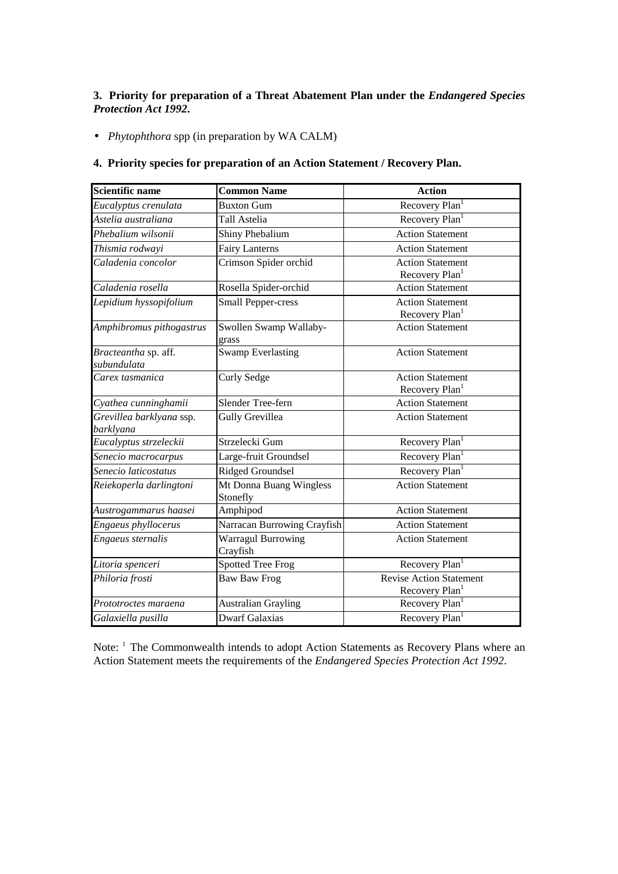# **3. Priority for preparation of a Threat Abatement Plan under the** *Endangered Species Protection Act 1992***.**

• *Phytophthora* spp (in preparation by WA CALM)

# **4. Priority species for preparation of an Action Statement / Recovery Plan.**

| Scientific name                       | <b>Common Name</b>                    | <b>Action</b>                                                |
|---------------------------------------|---------------------------------------|--------------------------------------------------------------|
| Eucalyptus crenulata                  | <b>Buxton Gum</b>                     | Recovery Plan <sup>1</sup>                                   |
| Astelia australiana                   | Tall Astelia                          | Recovery Plan <sup>1</sup>                                   |
| Phebalium wilsonii                    | Shiny Phebalium                       | <b>Action Statement</b>                                      |
| Thismia rodwayi                       | <b>Fairy Lanterns</b>                 | <b>Action Statement</b>                                      |
| Caladenia concolor                    | Crimson Spider orchid                 | <b>Action Statement</b><br>Recovery Plan <sup>1</sup>        |
| Caladenia rosella                     | Rosella Spider-orchid                 | <b>Action Statement</b>                                      |
| Lepidium hyssopifolium                | <b>Small Pepper-cress</b>             | <b>Action Statement</b><br>Recovery Plan                     |
| Amphibromus pithogastrus              | Swollen Swamp Wallaby-<br>grass       | <b>Action Statement</b>                                      |
| Bracteantha sp. aff.<br>subundulata   | <b>Swamp Everlasting</b>              | <b>Action Statement</b>                                      |
| Carex tasmanica                       | Curly Sedge                           | <b>Action Statement</b><br>Recovery Plan <sup>1</sup>        |
| Cyathea cunninghamii                  | Slender Tree-fern                     | <b>Action Statement</b>                                      |
| Grevillea barklyana ssp.<br>barklyana | Gully Grevillea                       | <b>Action Statement</b>                                      |
| Eucalyptus strzeleckii                | Strzelecki Gum                        | Recovery Plan <sup>1</sup>                                   |
| Senecio macrocarpus                   | Large-fruit Groundsel                 | Recovery Plan <sup>1</sup>                                   |
| Senecio laticostatus                  | Ridged Groundsel                      | Recovery Plan <sup>1</sup>                                   |
| Reiekoperla darlingtoni               | Mt Donna Buang Wingless<br>Stonefly   | <b>Action Statement</b>                                      |
| Austrogammarus haasei                 | Amphipod                              | <b>Action Statement</b>                                      |
| Engaeus phyllocerus                   | Narracan Burrowing Crayfish           | <b>Action Statement</b>                                      |
| Engaeus sternalis                     | <b>Warragul Burrowing</b><br>Crayfish | <b>Action Statement</b>                                      |
| Litoria spenceri                      | <b>Spotted Tree Frog</b>              | Recovery Plan <sup>1</sup>                                   |
| Philoria frosti                       | <b>Baw Baw Frog</b>                   | <b>Revise Action Statement</b><br>Recovery Plan <sup>1</sup> |
| Prototroctes maraena                  | <b>Australian Grayling</b>            | Recovery Plan <sup>1</sup>                                   |
| Galaxiella pusilla                    | <b>Dwarf Galaxias</b>                 | Recovery Plan <sup>1</sup>                                   |

Note: <sup>1</sup> The Commonwealth intends to adopt Action Statements as Recovery Plans where an Action Statement meets the requirements of the *Endangered Species Protection Act 1992*.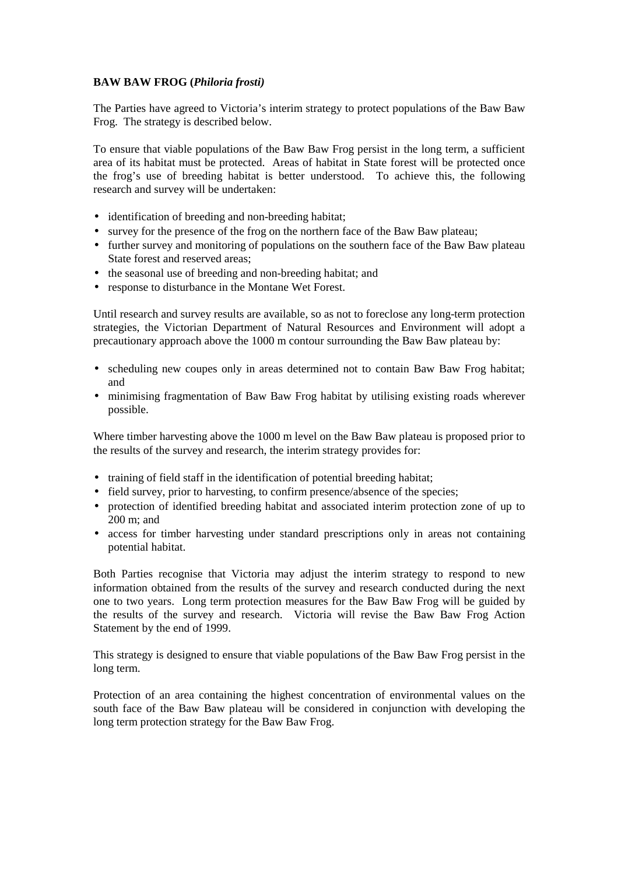# **BAW BAW FROG (***Philoria frosti)*

The Parties have agreed to Victoria's interim strategy to protect populations of the Baw Baw Frog. The strategy is described below.

To ensure that viable populations of the Baw Baw Frog persist in the long term, a sufficient area of its habitat must be protected. Areas of habitat in State forest will be protected once the frog's use of breeding habitat is better understood. To achieve this, the following research and survey will be undertaken:

- identification of breeding and non-breeding habitat;
- survey for the presence of the frog on the northern face of the Baw Baw plateau;
- further survey and monitoring of populations on the southern face of the Baw Baw plateau State forest and reserved areas:
- the seasonal use of breeding and non-breeding habitat; and
- response to disturbance in the Montane Wet Forest.

Until research and survey results are available, so as not to foreclose any long-term protection strategies, the Victorian Department of Natural Resources and Environment will adopt a precautionary approach above the 1000 m contour surrounding the Baw Baw plateau by:

- scheduling new coupes only in areas determined not to contain Baw Baw Frog habitat; and
- minimising fragmentation of Baw Baw Frog habitat by utilising existing roads wherever possible.

Where timber harvesting above the 1000 m level on the Baw Baw plateau is proposed prior to the results of the survey and research, the interim strategy provides for:

- training of field staff in the identification of potential breeding habitat;
- field survey, prior to harvesting, to confirm presence/absence of the species;
- protection of identified breeding habitat and associated interim protection zone of up to 200 m; and
- access for timber harvesting under standard prescriptions only in areas not containing potential habitat.

Both Parties recognise that Victoria may adjust the interim strategy to respond to new information obtained from the results of the survey and research conducted during the next one to two years. Long term protection measures for the Baw Baw Frog will be guided by the results of the survey and research. Victoria will revise the Baw Baw Frog Action Statement by the end of 1999.

This strategy is designed to ensure that viable populations of the Baw Baw Frog persist in the long term.

Protection of an area containing the highest concentration of environmental values on the south face of the Baw Baw plateau will be considered in conjunction with developing the long term protection strategy for the Baw Baw Frog.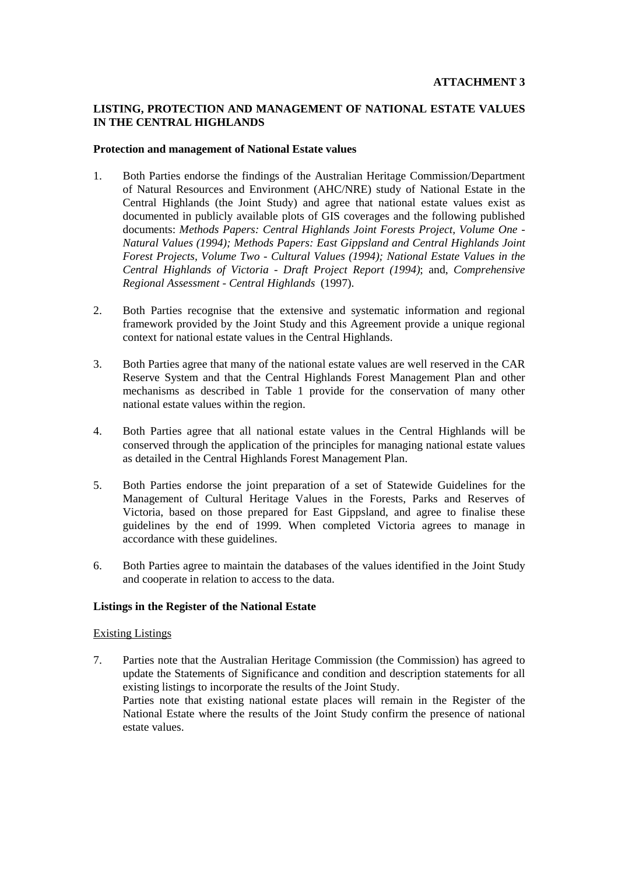# **LISTING, PROTECTION AND MANAGEMENT OF NATIONAL ESTATE VALUES IN THE CENTRAL HIGHLANDS**

#### **Protection and management of National Estate values**

- 1. Both Parties endorse the findings of the Australian Heritage Commission/Department of Natural Resources and Environment (AHC/NRE) study of National Estate in the Central Highlands (the Joint Study) and agree that national estate values exist as documented in publicly available plots of GIS coverages and the following published documents: *Methods Papers: Central Highlands Joint Forests Project, Volume One - Natural Values (1994); Methods Papers: East Gippsland and Central Highlands Joint Forest Projects, Volume Two - Cultural Values (1994); National Estate Values in the Central Highlands of Victoria - Draft Project Report (1994)*; and, *Comprehensive Regional Assessment - Central Highlands* (1997).
- 2. Both Parties recognise that the extensive and systematic information and regional framework provided by the Joint Study and this Agreement provide a unique regional context for national estate values in the Central Highlands.
- 3. Both Parties agree that many of the national estate values are well reserved in the CAR Reserve System and that the Central Highlands Forest Management Plan and other mechanisms as described in Table 1 provide for the conservation of many other national estate values within the region.
- 4. Both Parties agree that all national estate values in the Central Highlands will be conserved through the application of the principles for managing national estate values as detailed in the Central Highlands Forest Management Plan.
- 5. Both Parties endorse the joint preparation of a set of Statewide Guidelines for the Management of Cultural Heritage Values in the Forests, Parks and Reserves of Victoria, based on those prepared for East Gippsland, and agree to finalise these guidelines by the end of 1999. When completed Victoria agrees to manage in accordance with these guidelines.
- 6. Both Parties agree to maintain the databases of the values identified in the Joint Study and cooperate in relation to access to the data.

### **Listings in the Register of the National Estate**

#### Existing Listings

7. Parties note that the Australian Heritage Commission (the Commission) has agreed to update the Statements of Significance and condition and description statements for all existing listings to incorporate the results of the Joint Study. Parties note that existing national estate places will remain in the Register of the National Estate where the results of the Joint Study confirm the presence of national estate values.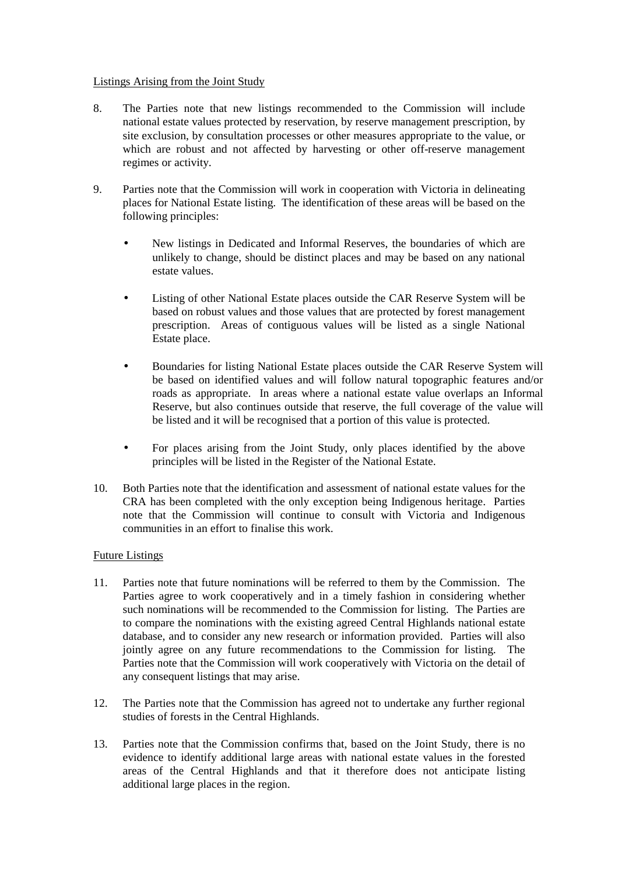### Listings Arising from the Joint Study

- 8. The Parties note that new listings recommended to the Commission will include national estate values protected by reservation, by reserve management prescription, by site exclusion, by consultation processes or other measures appropriate to the value, or which are robust and not affected by harvesting or other off-reserve management regimes or activity.
- 9. Parties note that the Commission will work in cooperation with Victoria in delineating places for National Estate listing.The identification of these areas will be based on the following principles:
	- New listings in Dedicated and Informal Reserves, the boundaries of which are unlikely to change, should be distinct places and may be based on any national estate values.
	- Listing of other National Estate places outside the CAR Reserve System will be based on robust values and those values that are protected by forest management prescription. Areas of contiguous values will be listed as a single National Estate place.
	- Boundaries for listing National Estate places outside the CAR Reserve System will be based on identified values and will follow natural topographic features and/or roads as appropriate. In areas where a national estate value overlaps an Informal Reserve, but also continues outside that reserve, the full coverage of the value will be listed and it will be recognised that a portion of this value is protected.
	- For places arising from the Joint Study, only places identified by the above principles will be listed in the Register of the National Estate.
- 10. Both Parties note that the identification and assessment of national estate values for the CRA has been completed with the only exception being Indigenous heritage. Parties note that the Commission will continue to consult with Victoria and Indigenous communities in an effort to finalise this work.

### Future Listings

- 11. Parties note that future nominations will be referred to them by the Commission. The Parties agree to work cooperatively and in a timely fashion in considering whether such nominations will be recommended to the Commission for listing. The Parties are to compare the nominations with the existing agreed Central Highlands national estate database, and to consider any new research or information provided. Parties will also jointly agree on any future recommendations to the Commission for listing. The Parties note that the Commission will work cooperatively with Victoria on the detail of any consequent listings that may arise.
- 12. The Parties note that the Commission has agreed not to undertake any further regional studies of forests in the Central Highlands.
- 13. Parties note that the Commission confirms that, based on the Joint Study, there is no evidence to identify additional large areas with national estate values in the forested areas of the Central Highlands and that it therefore does not anticipate listing additional large places in the region.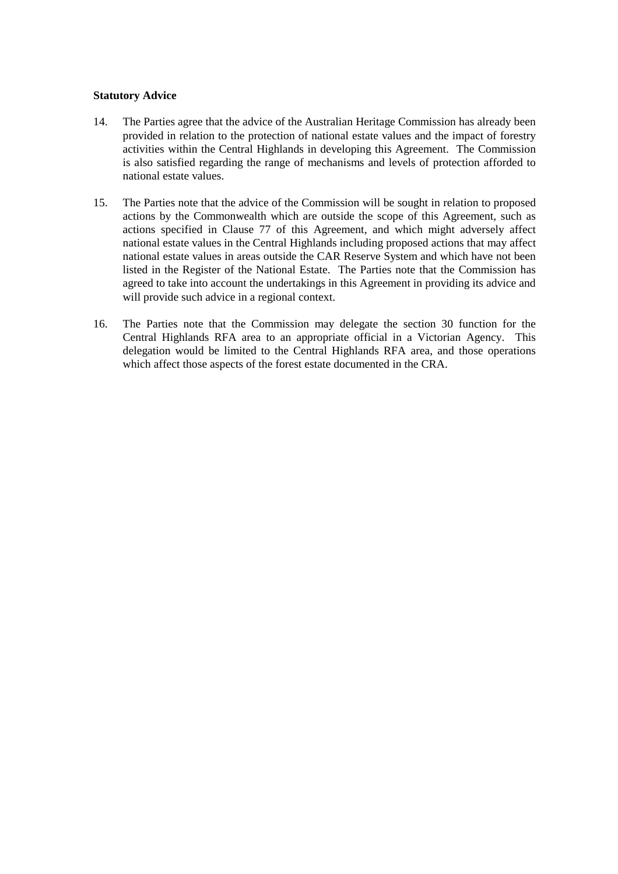### **Statutory Advice**

- 14. The Parties agree that the advice of the Australian Heritage Commission has already been provided in relation to the protection of national estate values and the impact of forestry activities within the Central Highlands in developing this Agreement. The Commission is also satisfied regarding the range of mechanisms and levels of protection afforded to national estate values.
- 15. The Parties note that the advice of the Commission will be sought in relation to proposed actions by the Commonwealth which are outside the scope of this Agreement, such as actions specified in Clause 77 of this Agreement, and which might adversely affect national estate values in the Central Highlands including proposed actions that may affect national estate values in areas outside the CAR Reserve System and which have not been listed in the Register of the National Estate. The Parties note that the Commission has agreed to take into account the undertakings in this Agreement in providing its advice and will provide such advice in a regional context.
- 16. The Parties note that the Commission may delegate the section 30 function for the Central Highlands RFA area to an appropriate official in a Victorian Agency. This delegation would be limited to the Central Highlands RFA area, and those operations which affect those aspects of the forest estate documented in the CRA.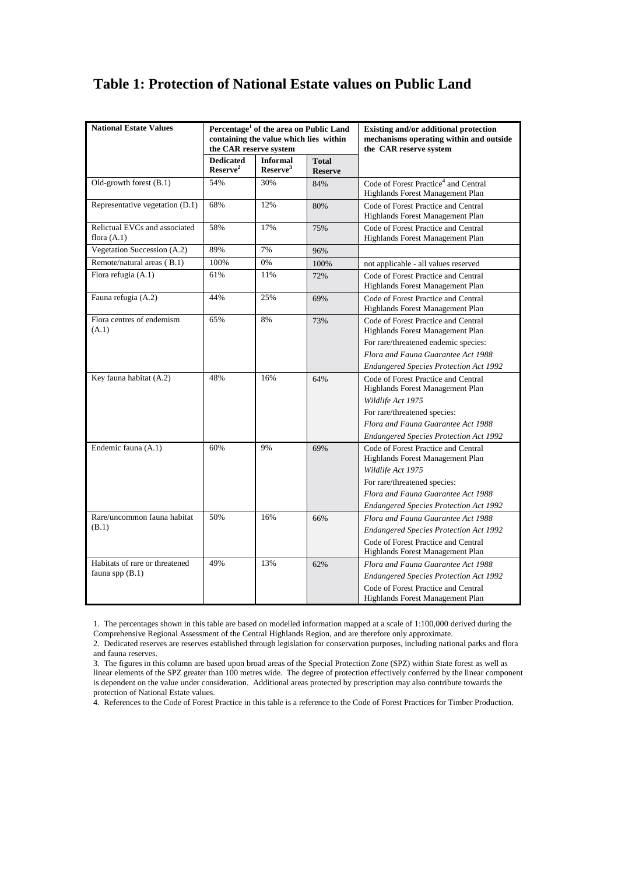# **Table 1: Protection of National Estate values on Public Land**

| <b>National Estate Values</b>                       | Percentage <sup>1</sup> of the area on Public Land<br>containing the value which lies within<br>the CAR reserve system |                                         |                                | Existing and/or additional protection<br>mechanisms operating within and outside<br>the CAR reserve system                                                                                                          |
|-----------------------------------------------------|------------------------------------------------------------------------------------------------------------------------|-----------------------------------------|--------------------------------|---------------------------------------------------------------------------------------------------------------------------------------------------------------------------------------------------------------------|
|                                                     | <b>Dedicated</b><br>Reserve <sup>2</sup>                                                                               | <b>Informal</b><br>Reserve <sup>3</sup> | <b>Total</b><br><b>Reserve</b> |                                                                                                                                                                                                                     |
| Old-growth forest (B.1)                             | 54%                                                                                                                    | 30%                                     | 84%                            | Code of Forest Practice <sup>4</sup> and Central<br>Highlands Forest Management Plan                                                                                                                                |
| Representative vegetation (D.1)                     | 68%                                                                                                                    | 12%                                     | 80%                            | Code of Forest Practice and Central<br>Highlands Forest Management Plan                                                                                                                                             |
| Relictual EVCs and associated<br>flora $(A.1)$      | 58%                                                                                                                    | 17%                                     | 75%                            | Code of Forest Practice and Central<br>Highlands Forest Management Plan                                                                                                                                             |
| Vegetation Succession (A.2)                         | 89%                                                                                                                    | 7%                                      | 96%                            |                                                                                                                                                                                                                     |
| Remote/natural areas (B.1)                          | 100%                                                                                                                   | 0%                                      | 100%                           | not applicable - all values reserved                                                                                                                                                                                |
| Flora refugia (A.1)                                 | 61%                                                                                                                    | 11%                                     | 72%                            | Code of Forest Practice and Central<br>Highlands Forest Management Plan                                                                                                                                             |
| Fauna refugia (A.2)                                 | 44%                                                                                                                    | 25%                                     | 69%                            | Code of Forest Practice and Central<br>Highlands Forest Management Plan                                                                                                                                             |
| Flora centres of endemism<br>(A.1)                  | 65%                                                                                                                    | 8%                                      | 73%                            | Code of Forest Practice and Central<br>Highlands Forest Management Plan<br>For rare/threatened endemic species:<br>Flora and Fauna Guarantee Act 1988<br><b>Endangered Species Protection Act 1992</b>              |
| Key fauna habitat (A.2)                             | 48%                                                                                                                    | 16%                                     | 64%                            | Code of Forest Practice and Central<br>Highlands Forest Management Plan<br>Wildlife Act 1975<br>For rare/threatened species:<br>Flora and Fauna Guarantee Act 1988<br><b>Endangered Species Protection Act 1992</b> |
| Endemic fauna (A.1)                                 | 60%                                                                                                                    | 9%                                      | 69%                            | Code of Forest Practice and Central<br>Highlands Forest Management Plan<br>Wildlife Act 1975<br>For rare/threatened species:<br>Flora and Fauna Guarantee Act 1988<br><b>Endangered Species Protection Act 1992</b> |
| Rare/uncommon fauna habitat<br>(B.1)                | 50%                                                                                                                    | 16%                                     | 66%                            | Flora and Fauna Guarantee Act 1988<br>Endangered Species Protection Act 1992<br>Code of Forest Practice and Central<br>Highlands Forest Management Plan                                                             |
| Habitats of rare or threatened<br>fauna spp $(B.1)$ | 49%                                                                                                                    | 13%                                     | 62%                            | Flora and Fauna Guarantee Act 1988<br><b>Endangered Species Protection Act 1992</b><br>Code of Forest Practice and Central<br>Highlands Forest Management Plan                                                      |

1. The percentages shown in this table are based on modelled information mapped at a scale of 1:100,000 derived during the Comprehensive Regional Assessment of the Central Highlands Region, and are therefore only approximate.

2. Dedicated reserves are reserves established through legislation for conservation purposes, including national parks and flora and fauna reserves.

3. The figures in this column are based upon broad areas of the Special Protection Zone (SPZ) within State forest as well as linear elements of the SPZ greater than 100 metres wide. The degree of protection effectively conferred by the linear component is dependent on the value under consideration. Additional areas protected by prescription may also contribute towards the protection of National Estate values.

4. References to the Code of Forest Practice in this table is a reference to the Code of Forest Practices for Timber Production.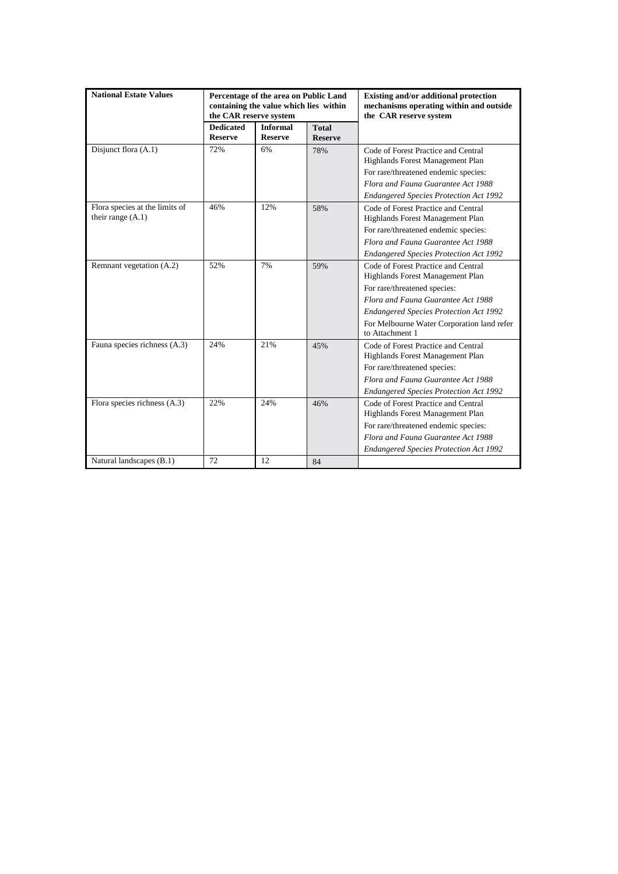| <b>National Estate Values</b>                         | Percentage of the area on Public Land<br>containing the value which lies within<br>the CAR reserve system |                                   |                                | Existing and/or additional protection<br>mechanisms operating within and outside<br>the CAR reserve system |
|-------------------------------------------------------|-----------------------------------------------------------------------------------------------------------|-----------------------------------|--------------------------------|------------------------------------------------------------------------------------------------------------|
|                                                       | <b>Dedicated</b><br><b>Reserve</b>                                                                        | <b>Informal</b><br><b>Reserve</b> | <b>Total</b><br><b>Reserve</b> |                                                                                                            |
| Disjunct flora (A.1)                                  | 72%                                                                                                       | 6%                                | 78%                            | Code of Forest Practice and Central<br>Highlands Forest Management Plan                                    |
|                                                       |                                                                                                           |                                   |                                | For rare/threatened endemic species:                                                                       |
|                                                       |                                                                                                           |                                   |                                | Flora and Fauna Guarantee Act 1988                                                                         |
|                                                       |                                                                                                           |                                   |                                | <b>Endangered Species Protection Act 1992</b>                                                              |
| Flora species at the limits of<br>their range $(A.1)$ | 46%                                                                                                       | 12%                               | 58%                            | Code of Forest Practice and Central<br>Highlands Forest Management Plan                                    |
|                                                       |                                                                                                           |                                   |                                | For rare/threatened endemic species:                                                                       |
|                                                       |                                                                                                           |                                   |                                | Flora and Fauna Guarantee Act 1988                                                                         |
|                                                       |                                                                                                           |                                   |                                | <b>Endangered Species Protection Act 1992</b>                                                              |
| Remnant vegetation (A.2)                              | 52%                                                                                                       | 7%                                | 59%                            | Code of Forest Practice and Central<br>Highlands Forest Management Plan                                    |
|                                                       |                                                                                                           |                                   |                                | For rare/threatened species:                                                                               |
|                                                       |                                                                                                           |                                   |                                | Flora and Fauna Guarantee Act 1988                                                                         |
|                                                       |                                                                                                           |                                   |                                | <b>Endangered Species Protection Act 1992</b>                                                              |
|                                                       |                                                                                                           |                                   |                                | For Melbourne Water Corporation land refer<br>to Attachment 1                                              |
| Fauna species richness (A.3)                          | 24%                                                                                                       | 21%                               | 45%                            | Code of Forest Practice and Central                                                                        |
|                                                       |                                                                                                           |                                   |                                | Highlands Forest Management Plan                                                                           |
|                                                       |                                                                                                           |                                   |                                | For rare/threatened species:                                                                               |
|                                                       |                                                                                                           |                                   |                                | Flora and Fauna Guarantee Act 1988                                                                         |
|                                                       |                                                                                                           |                                   |                                | <b>Endangered Species Protection Act 1992</b>                                                              |
| Flora species richness (A.3)                          | 22%                                                                                                       | 24%                               | 46%                            | Code of Forest Practice and Central<br>Highlands Forest Management Plan                                    |
|                                                       |                                                                                                           |                                   |                                | For rare/threatened endemic species:                                                                       |
|                                                       |                                                                                                           |                                   |                                | Flora and Fauna Guarantee Act 1988                                                                         |
|                                                       |                                                                                                           |                                   |                                | <b>Endangered Species Protection Act 1992</b>                                                              |
| Natural landscapes (B.1)                              | 72                                                                                                        | 12                                | 84                             |                                                                                                            |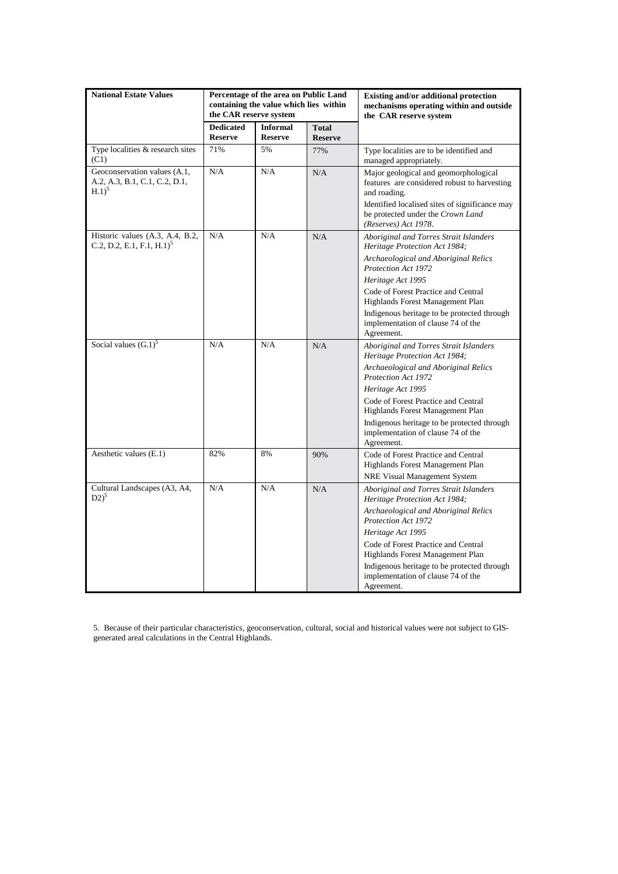| <b>National Estate Values</b>                                                       | Percentage of the area on Public Land<br>containing the value which lies within<br>the CAR reserve system |                                   |                                | Existing and/or additional protection<br>mechanisms operating within and outside<br>the CAR reserve system                                              |
|-------------------------------------------------------------------------------------|-----------------------------------------------------------------------------------------------------------|-----------------------------------|--------------------------------|---------------------------------------------------------------------------------------------------------------------------------------------------------|
|                                                                                     | <b>Dedicated</b><br><b>Reserve</b>                                                                        | <b>Informal</b><br><b>Reserve</b> | <b>Total</b><br><b>Reserve</b> |                                                                                                                                                         |
| Type localities & research sites<br>(C1)                                            | 71%                                                                                                       | 5%                                | 77%                            | Type localities are to be identified and<br>managed appropriately.                                                                                      |
| Geoconservation values (A.1,<br>A.2, A.3, B.1, C.1, C.2, D.1,<br>$H.1$ <sup>2</sup> | N/A                                                                                                       | N/A                               | N/A                            | Major geological and geomorphological<br>features are considered robust to harvesting<br>and roading.<br>Identified localised sites of significance may |
|                                                                                     |                                                                                                           |                                   |                                | be protected under the Crown Land<br>(Reserves) Act 1978.                                                                                               |
| Historic values (A.3, A.4, B.2,<br>C.2, D.2, E.1, F.1, H.1) <sup>5</sup>            | N/A                                                                                                       | N/A                               | N/A                            | Aboriginal and Torres Strait Islanders<br>Heritage Protection Act 1984;<br>Archaeological and Aboriginal Relics                                         |
|                                                                                     |                                                                                                           |                                   |                                | Protection Act 1972                                                                                                                                     |
|                                                                                     |                                                                                                           |                                   |                                | Heritage Act 1995<br>Code of Forest Practice and Central                                                                                                |
|                                                                                     |                                                                                                           |                                   |                                | Highlands Forest Management Plan                                                                                                                        |
|                                                                                     |                                                                                                           |                                   |                                | Indigenous heritage to be protected through<br>implementation of clause 74 of the<br>Agreement.                                                         |
| Social values $(G.1)^5$                                                             | N/A                                                                                                       | N/A                               | N/A                            | Aboriginal and Torres Strait Islanders<br>Heritage Protection Act 1984;                                                                                 |
|                                                                                     |                                                                                                           |                                   |                                | Archaeological and Aboriginal Relics<br>Protection Act 1972                                                                                             |
|                                                                                     |                                                                                                           |                                   |                                | Heritage Act 1995                                                                                                                                       |
|                                                                                     |                                                                                                           |                                   |                                | Code of Forest Practice and Central<br>Highlands Forest Management Plan                                                                                 |
|                                                                                     |                                                                                                           |                                   |                                | Indigenous heritage to be protected through<br>implementation of clause 74 of the<br>Agreement.                                                         |
| Aesthetic values (E.1)                                                              | 82%                                                                                                       | 8%                                | 90%                            | Code of Forest Practice and Central<br>Highlands Forest Management Plan<br><b>NRE Visual Management System</b>                                          |
| Cultural Landscapes (A3, A4,<br>$D2)^5$                                             | N/A                                                                                                       | N/A                               | N/A                            | Aboriginal and Torres Strait Islanders<br>Heritage Protection Act 1984;                                                                                 |
|                                                                                     |                                                                                                           |                                   |                                | Archaeological and Aboriginal Relics<br>Protection Act 1972                                                                                             |
|                                                                                     |                                                                                                           |                                   |                                | Heritage Act 1995                                                                                                                                       |
|                                                                                     |                                                                                                           |                                   |                                | Code of Forest Practice and Central<br>Highlands Forest Management Plan                                                                                 |
|                                                                                     |                                                                                                           |                                   |                                | Indigenous heritage to be protected through                                                                                                             |
|                                                                                     |                                                                                                           |                                   |                                | implementation of clause 74 of the<br>Agreement.                                                                                                        |

5. Because of their particular characteristics, geoconservation, cultural, social and historical values were not subject to GISgenerated areal calculations in the Central Highlands.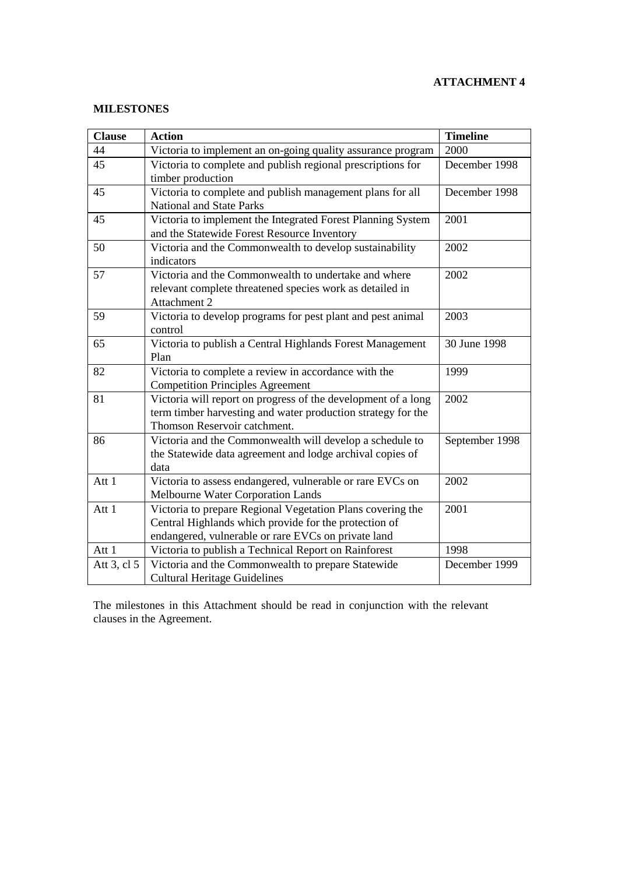# **MILESTONES**

| <b>Clause</b> | <b>Action</b>                                                                                                                                                              | <b>Timeline</b> |
|---------------|----------------------------------------------------------------------------------------------------------------------------------------------------------------------------|-----------------|
| 44            | Victoria to implement an on-going quality assurance program                                                                                                                | 2000            |
| 45            | Victoria to complete and publish regional prescriptions for<br>timber production                                                                                           | December 1998   |
| 45            | Victoria to complete and publish management plans for all<br><b>National and State Parks</b>                                                                               | December 1998   |
| 45            | Victoria to implement the Integrated Forest Planning System<br>and the Statewide Forest Resource Inventory                                                                 | 2001            |
| 50            | Victoria and the Commonwealth to develop sustainability<br>indicators                                                                                                      | 2002            |
| 57            | Victoria and the Commonwealth to undertake and where<br>relevant complete threatened species work as detailed in<br>Attachment 2                                           | 2002            |
| 59            | Victoria to develop programs for pest plant and pest animal<br>control                                                                                                     | 2003            |
| 65            | Victoria to publish a Central Highlands Forest Management<br>Plan                                                                                                          | 30 June 1998    |
| 82            | Victoria to complete a review in accordance with the<br><b>Competition Principles Agreement</b>                                                                            | 1999            |
| 81            | Victoria will report on progress of the development of a long<br>term timber harvesting and water production strategy for the<br>Thomson Reservoir catchment.              | 2002            |
| 86            | Victoria and the Commonwealth will develop a schedule to<br>the Statewide data agreement and lodge archival copies of<br>data                                              | September 1998  |
| Att 1         | Victoria to assess endangered, vulnerable or rare EVCs on<br>Melbourne Water Corporation Lands                                                                             | 2002            |
| Att 1         | Victoria to prepare Regional Vegetation Plans covering the<br>Central Highlands which provide for the protection of<br>endangered, vulnerable or rare EVCs on private land | 2001            |
| Att 1         | Victoria to publish a Technical Report on Rainforest                                                                                                                       | 1998            |
| Att 3, cl 5   | Victoria and the Commonwealth to prepare Statewide<br><b>Cultural Heritage Guidelines</b>                                                                                  | December 1999   |

The milestones in this Attachment should be read in conjunction with the relevant clauses in the Agreement.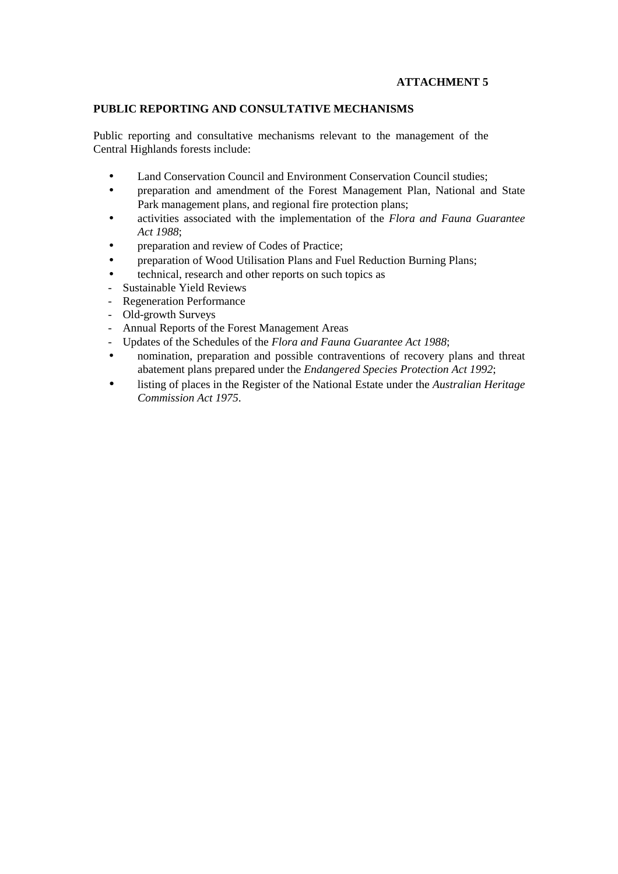# **PUBLIC REPORTING AND CONSULTATIVE MECHANISMS**

Public reporting and consultative mechanisms relevant to the management of the Central Highlands forests include:

- Land Conservation Council and Environment Conservation Council studies;
- preparation and amendment of the Forest Management Plan, National and State Park management plans, and regional fire protection plans;
- activities associated with the implementation of the *Flora and Fauna Guarantee Act 1988*;
- preparation and review of Codes of Practice;
- preparation of Wood Utilisation Plans and Fuel Reduction Burning Plans;
- technical, research and other reports on such topics as
- Sustainable Yield Reviews
- Regeneration Performance
- Old-growth Surveys
- Annual Reports of the Forest Management Areas
- Updates of the Schedules of the *Flora and Fauna Guarantee Act 1988*;
- nomination, preparation and possible contraventions of recovery plans and threat abatement plans prepared under the *Endangered Species Protection Act 1992*;
- listing of places in the Register of the National Estate under the *Australian Heritage Commission Act 1975*.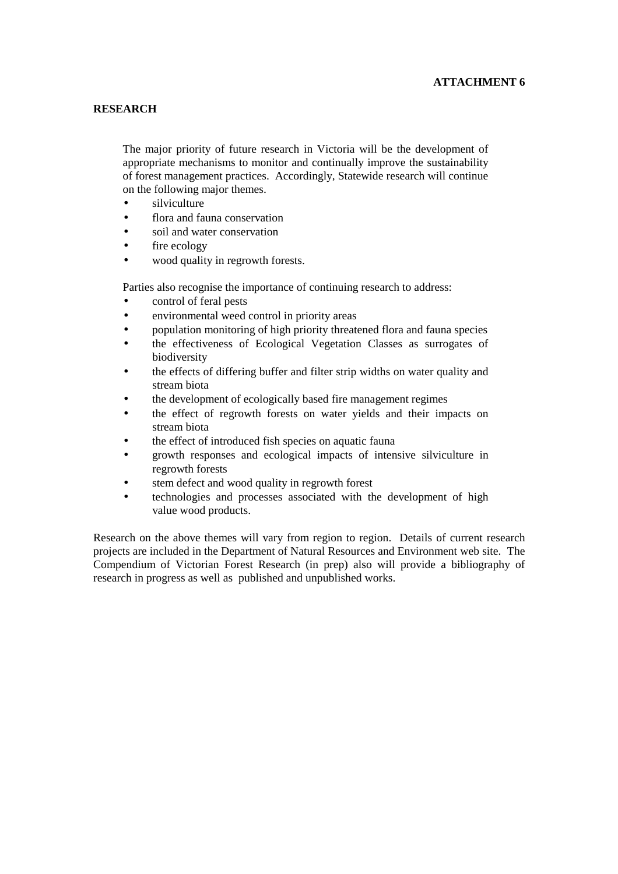## **RESEARCH**

The major priority of future research in Victoria will be the development of appropriate mechanisms to monitor and continually improve the sustainability of forest management practices. Accordingly, Statewide research will continue on the following major themes.

- silviculture
- flora and fauna conservation
- soil and water conservation
- fire ecology
- wood quality in regrowth forests.

Parties also recognise the importance of continuing research to address:

- control of feral pests
- environmental weed control in priority areas
- population monitoring of high priority threatened flora and fauna species
- the effectiveness of Ecological Vegetation Classes as surrogates of biodiversity
- the effects of differing buffer and filter strip widths on water quality and stream biota
- the development of ecologically based fire management regimes
- the effect of regrowth forests on water yields and their impacts on stream biota
- the effect of introduced fish species on aquatic fauna
- growth responses and ecological impacts of intensive silviculture in regrowth forests
- stem defect and wood quality in regrowth forest
- technologies and processes associated with the development of high value wood products.

Research on the above themes will vary from region to region. Details of current research projects are included in the Department of Natural Resources and Environment web site. The Compendium of Victorian Forest Research (in prep) also will provide a bibliography of research in progress as well as published and unpublished works.